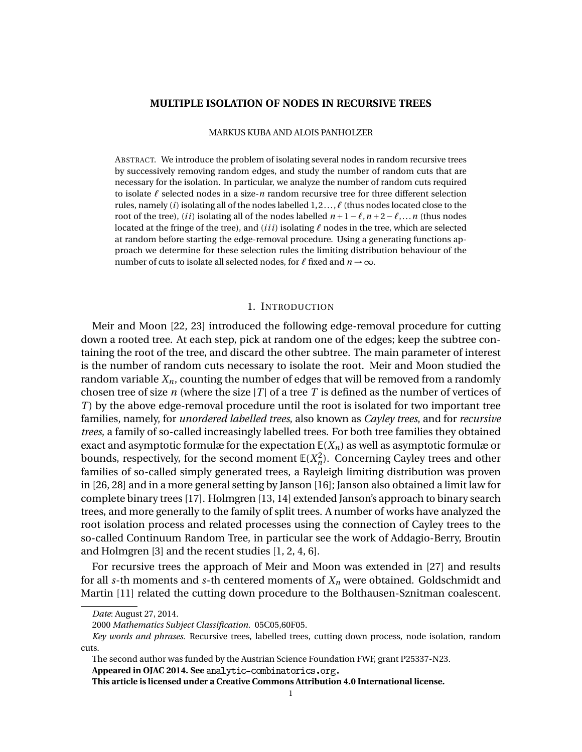#### **MULTIPLE ISOLATION OF NODES IN RECURSIVE TREES**

#### MARKUS KUBA AND ALOIS PANHOLZER

ABSTRACT. We introduce the problem of isolating several nodes in random recursive trees by successively removing random edges, and study the number of random cuts that are necessary for the isolation. In particular, we analyze the number of random cuts required to isolate  $\ell$  selected nodes in a size- $n$  random recursive tree for three different selection rules, namely *(i)* isolating all of the nodes labelled  $1, 2, \ldots, \ell$  (thus nodes located close to the root of the tree), *(ii)* isolating all of the nodes labelled  $n+1-\ell, n+2-\ell, \ldots, n$  (thus nodes located at the fringe of the tree), and *(iii)* isolating  $\ell$  nodes in the tree, which are selected at random before starting the edge-removal procedure. Using a generating functions approach we determine for these selection rules the limiting distribution behaviour of the number of cuts to isolate all selected nodes, for  $\ell$  fixed and  $n \to \infty$ .

### 1. INTRODUCTION

Meir and Moon [\[22,](#page-24-0) [23\]](#page-24-1) introduced the following edge-removal procedure for cutting down a rooted tree. At each step, pick at random one of the edges; keep the subtree containing the root of the tree, and discard the other subtree. The main parameter of interest is the number of random cuts necessary to isolate the root. Meir and Moon studied the random variable  $X_n$ , counting the number of edges that will be removed from a randomly chosen tree of size *n* (where the size  $|T|$  of a tree T is defined as the number of vertices of *T*) by the above edge-removal procedure until the root is isolated for two important tree families, namely, for *unordered labelled trees*, also known as *Cayley trees*, and for *recursive trees*, a family of so-called increasingly labelled trees. For both tree families they obtained exact and asymptotic formulæ for the expectation  $E(X_n)$  as well as asymptotic formulæ or bounds, respectively, for the second moment  $\mathbb{E}(X_n^2)$ . Concerning Cayley trees and other families of so-called simply generated trees, a Rayleigh limiting distribution was proven in [\[26,](#page-24-2) [28\]](#page-24-3) and in a more general setting by Janson [\[16\]](#page-24-4); Janson also obtained a limit law for complete binary trees [\[17\]](#page-24-5). Holmgren [\[13,](#page-24-6) [14\]](#page-24-7) extended Janson's approach to binary search trees, and more generally to the family of split trees. A number of works have analyzed the root isolation process and related processes using the connection of Cayley trees to the so-called Continuum Random Tree, in particular see the work of Addagio-Berry, Broutin and Holmgren [\[3\]](#page-23-0) and the recent studies [\[1,](#page-23-1) [2,](#page-23-2) [4,](#page-23-3) [6\]](#page-24-8).

For recursive trees the approach of Meir and Moon was extended in [\[27\]](#page-24-9) and results for all *s*-th moments and *s*-th centered moments of  $X_n$  were obtained. Goldschmidt and Martin [\[11\]](#page-24-10) related the cutting down procedure to the Bolthausen-Sznitman coalescent.

**This article is licensed under a Creative Commons Attribution 4.0 International license.**

*Date*: August 27, 2014.

<sup>2000</sup> *Mathematics Subject Classification.* 05C05,60F05.

*Key words and phrases.* Recursive trees, labelled trees, cutting down process, node isolation, random cuts.

The second author was funded by the Austrian Science Foundation FWF, grant P25337-N23.

**Appeared in OJAC 2014. See**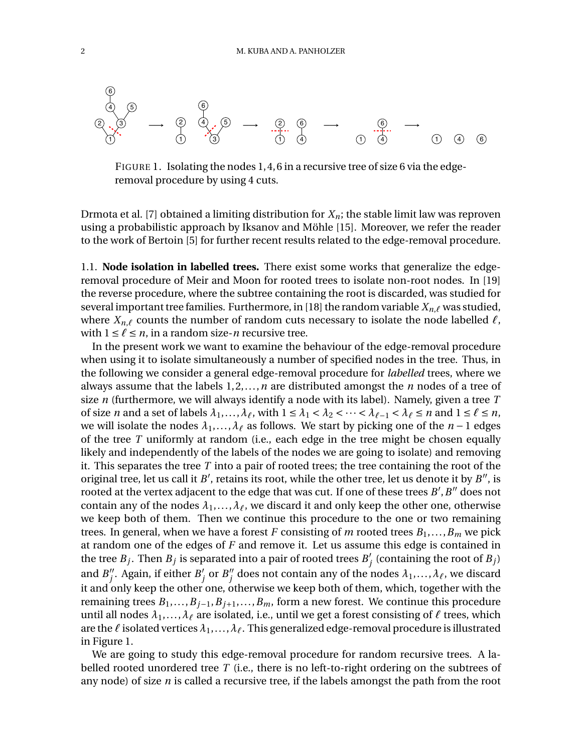

<span id="page-1-0"></span>FIGURE 1. Isolating the nodes 1, 4, 6 in a recursive tree of size 6 via the edgeremoval procedure by using 4 cuts.

Drmota et al. [\[7\]](#page-24-11) obtained a limiting distribution for  $X_n$ ; the stable limit law was reproven using a probabilistic approach by Iksanov and Möhle [\[15\]](#page-24-12). Moreover, we refer the reader to the work of Bertoin [\[5\]](#page-24-13) for further recent results related to the edge-removal procedure.

1.1. **Node isolation in labelled trees.** There exist some works that generalize the edgeremoval procedure of Meir and Moon for rooted trees to isolate non-root nodes. In [\[19\]](#page-24-14) the reverse procedure, where the subtree containing the root is discarded, was studied for several important tree families. Furthermore, in [\[18\]](#page-24-15) the random variable  $X_{n,\ell}$  was studied, where  $X_{n,\ell}$  counts the number of random cuts necessary to isolate the node labelled  $\ell$ , with  $1 \le \ell \le n$ , in a random size-*n* recursive tree.

In the present work we want to examine the behaviour of the edge-removal procedure when using it to isolate simultaneously a number of specified nodes in the tree. Thus, in the following we consider a general edge-removal procedure for *labelled* trees, where we always assume that the labels 1, 2,...,*n* are distributed amongst the *n* nodes of a tree of size *n* (furthermore, we will always identify a node with its label). Namely, given a tree *T* of size *n* and a set of labels  $\lambda_1, \ldots, \lambda_\ell$ , with  $1 \leq \lambda_1 < \lambda_2 < \cdots < \lambda_{\ell-1} < \lambda_\ell \leq n$  and  $1 \leq \ell \leq n$ , we will isolate the nodes  $\lambda_1, \ldots, \lambda_\ell$  as follows. We start by picking one of the  $n - 1$  edges of the tree *T* uniformly at random (i.e., each edge in the tree might be chosen equally likely and independently of the labels of the nodes we are going to isolate) and removing it. This separates the tree *T* into a pair of rooted trees; the tree containing the root of the original tree, let us call it  $B'$ , retains its root, while the other tree, let us denote it by  $B''$ , is rooted at the vertex adjacent to the edge that was cut. If one of these trees  $B^{\prime}, B^{\prime\prime}$  does not contain any of the nodes  $\lambda_1, \ldots, \lambda_\ell$ , we discard it and only keep the other one, otherwise we keep both of them. Then we continue this procedure to the one or two remaining trees. In general, when we have a forest *F* consisting of *m* rooted trees  $B_1, \ldots, B_m$  we pick at random one of the edges of *F* and remove it. Let us assume this edge is contained in the tree  $B_j$ . Then  $B_j$  is separated into a pair of rooted trees  $B_j'$  (containing the root of  $B_j$ ) and  $B''_j$ . Again, if either  $B'_j$  or  $B''_j$  does not contain any of the nodes  $\lambda_1,\ldots,\lambda_\ell$ , we discard it and only keep the other one, otherwise we keep both of them, which, together with the remaining trees  $B_1, \ldots, B_{j-1}, B_{j+1}, \ldots, B_m$ , form a new forest. We continue this procedure until all nodes  $\lambda_1, ..., \lambda_\ell$  are isolated, i.e., until we get a forest consisting of  $\ell$  trees, which are the  $\ell$  isolated vertices  $\lambda_1, \ldots, \lambda_\ell$ . This generalized edge-removal procedure is illustrated in Figure [1.](#page-1-0)

We are going to study this edge-removal procedure for random recursive trees. A labelled rooted unordered tree *T* (i.e., there is no left-to-right ordering on the subtrees of any node) of size *n* is called a recursive tree, if the labels amongst the path from the root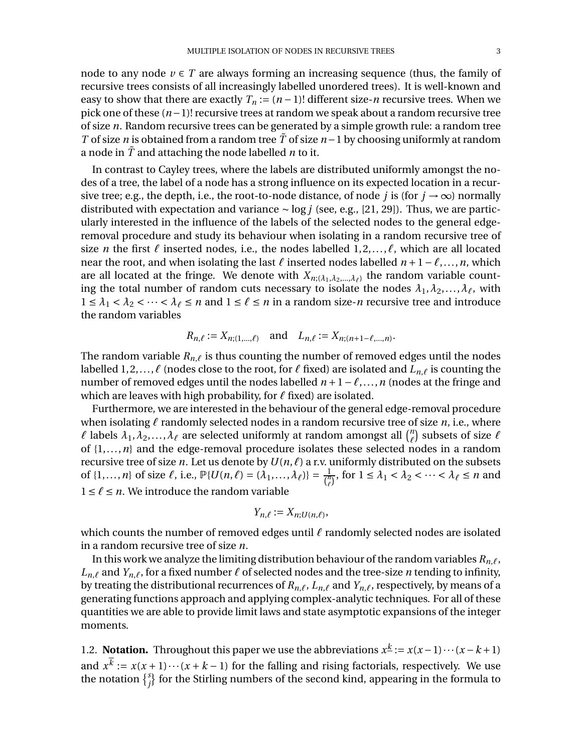node to any node  $v \in T$  are always forming an increasing sequence (thus, the family of recursive trees consists of all increasingly labelled unordered trees). It is well-known and easy to show that there are exactly  $T_n := (n-1)!$  different size-*n* recursive trees. When we pick one of these  $(n-1)!$  recursive trees at random we speak about a random recursive tree of size *n*. Random recursive trees can be generated by a simple growth rule: a random tree *T* of size *n* is obtained from a random tree  $\tilde{T}$  of size  $n-1$  by choosing uniformly at random a node in  $\tilde{T}$  and attaching the node labelled *n* to it.

In contrast to Cayley trees, where the labels are distributed uniformly amongst the nodes of a tree, the label of a node has a strong influence on its expected location in a recursive tree; e.g., the depth, i.e., the root-to-node distance, of node *j* is (for  $j \rightarrow \infty$ ) normally distributed with expectation and variance  $\sim$  log *j* (see, e.g., [\[21,](#page-24-16) [29\]](#page-24-17)). Thus, we are particularly interested in the influence of the labels of the selected nodes to the general edgeremoval procedure and study its behaviour when isolating in a random recursive tree of size *n* the first  $\ell$  inserted nodes, i.e., the nodes labelled  $1, 2, \ldots, \ell$ , which are all located near the root, and when isolating the last  $\ell$  inserted nodes labelled  $n + 1 - \ell, \ldots, n$ , which are all located at the fringe. We denote with  $X_{n;(\lambda_1,\lambda_2,...,\lambda_\ell)}$  the random variable counting the total number of random cuts necessary to isolate the nodes  $\lambda_1, \lambda_2, ..., \lambda_\ell$ , with  $1 \leq \lambda_1 < \lambda_2 < \cdots < \lambda_\ell \leq n$  and  $1 \leq \ell \leq n$  in a random size-*n* recursive tree and introduce the random variables

$$
R_{n,\ell} := X_{n;(1,\ldots,\ell)}
$$
 and  $L_{n,\ell} := X_{n;(n+1-\ell,\ldots,n)}$ .

The random variable  $R_{n,\ell}$  is thus counting the number of removed edges until the nodes labelled 1, 2, ...,  $\ell$  (nodes close to the root, for  $\ell$  fixed) are isolated and  $L_{n,\ell}$  is counting the number of removed edges until the nodes labelled  $n+1-\ell,...,n$  (nodes at the fringe and which are leaves with high probability, for  $\ell$  fixed) are isolated.

Furthermore, we are interested in the behaviour of the general edge-removal procedure when isolating  $\ell$  randomly selected nodes in a random recursive tree of size  $n$ , i.e., where  $\ell$  labels  $\lambda_1, \lambda_2, ..., \lambda_\ell$  are selected uniformly at random amongst all  $\binom{n}{\ell}$  subsets of size  $\ell$ of {1,...,*n*} and the edge-removal procedure isolates these selected nodes in a random recursive tree of size *n*. Let us denote by  $U(n, \ell)$  a r.v. uniformly distributed on the subsets of  $\{1, ..., n\}$  of size  $\ell$ , i.e.,  $\mathbb{P}\{U(n,\ell) = (\lambda_1, ..., \lambda_\ell)\} = \frac{1}{\binom{n}{\ell}}$ , for  $1 \leq \lambda_1 < \lambda_2 < \cdots < \lambda_\ell \leq n$  and  $1 \leq \ell \leq n$ . We introduce the random variable

$$
Y_{n,\ell} := X_{n;U(n,\ell)},
$$

which counts the number of removed edges until  $\ell$  randomly selected nodes are isolated in a random recursive tree of size *n*.

In this work we analyze the limiting distribution behaviour of the random variables  $R_{n,\ell}$ ,  $L_{n,\ell}$  and  $Y_{n,\ell}$ , for a fixed number  $\ell$  of selected nodes and the tree-size *n* tending to infinity, by treating the distributional recurrences of  $R_{n,\ell}$ ,  $L_{n,\ell}$  and  $Y_{n,\ell}$ , respectively, by means of a generating functions approach and applying complex-analytic techniques. For all of these quantities we are able to provide limit laws and state asymptotic expansions of the integer moments.

1.2. **Notation.** Throughout this paper we use the abbreviations  $x^{\underline{k}} := x(x-1)\cdots(x-k+1)$ and  $x^{\overline{k}} := x(x+1)\cdots(x+k-1)$  for the falling and rising factorials, respectively. We use the notation  $\{f_j\}$  for the Stirling numbers of the second kind, appearing in the formula to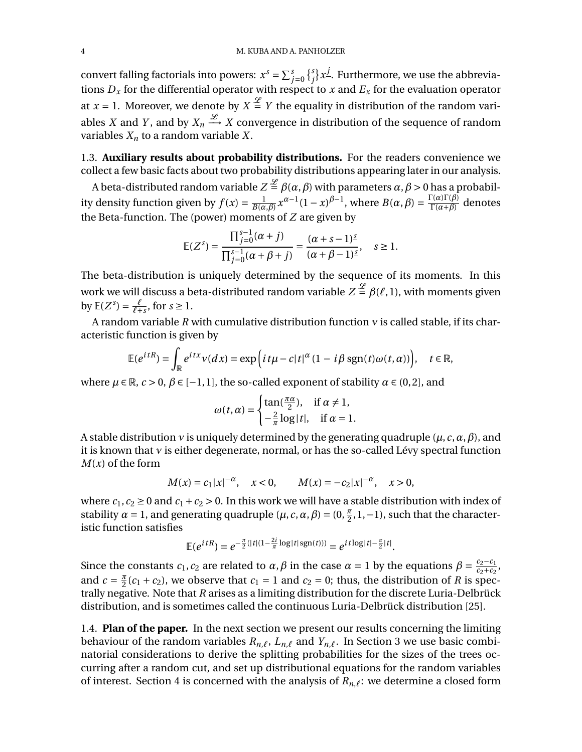convert falling factorials into powers:  $x^s = \sum_{j=0}^s$  $\{^{s}_{j}\}x^{\underline{j}}$ . Furthermore, we use the abbreviations  $D_x$  for the differential operator with respect to *x* and  $E_x$  for the evaluation operator at  $x = 1$ . Moreover, we denote by  $X \stackrel{\mathscr{L}}{=} Y$  the equality in distribution of the random variables *X* and *Y*, and by  $X_n \xrightarrow{\mathscr{L}} X$  convergence in distribution of the sequence of random variables  $X_n$  to a random variable  $X$ .

1.3. **Auxiliary results about probability distributions.** For the readers convenience we collect a few basic facts about two probability distributions appearing later in our analysis.

A beta-distributed random variable  $Z \stackrel{\mathscr{L}}{=} \beta(\alpha, \beta)$  with parameters  $\alpha, \beta > 0$  has a probability density function given by  $f(x) = \frac{1}{B(\alpha,\beta)} x^{\alpha-1} (1-x)^{\beta-1}$ , where  $B(\alpha,\beta) = \frac{\Gamma(\alpha)\Gamma(\beta)}{\Gamma(\alpha+\beta)}$  denotes the Beta-function. The (power) moments of *Z* are given by

$$
\mathbb{E}(Z^{s}) = \frac{\prod_{j=0}^{s-1}(\alpha + j)}{\prod_{j=0}^{s-1}(\alpha + \beta + j)} = \frac{(\alpha + s - 1)^{\underline{s}}}{(\alpha + \beta - 1)^{\underline{s}}}, \quad s \ge 1.
$$

The beta-distribution is uniquely determined by the sequence of its moments. In this work we will discuss a beta-distributed random variable  $Z \stackrel{\mathscr{L}}{=} \beta(\ell,1)$ , with moments given  $\text{by } \mathbb{E}(Z^s) = \frac{\ell}{\ell+s}, \text{ for } s \geq 1.$ 

A random variable *R* with cumulative distribution function *∫* is called stable, if its characteristic function is given by

$$
\mathbb{E}(e^{itR}) = \int_{\mathbb{R}} e^{itx} v(dx) = \exp\left(it\mu - c|t|^{\alpha} (1 - i\beta \operatorname{sgn}(t)\omega(t, \alpha))\right), \quad t \in \mathbb{R},
$$

where  $\mu \in \mathbb{R}$ ,  $c > 0$ ,  $\beta \in [-1, 1]$ , the so-called exponent of stability  $\alpha \in (0, 2]$ , and

$$
\omega(t,\alpha) = \begin{cases} \tan(\frac{\pi\alpha}{2}), & \text{if } \alpha \neq 1, \\ -\frac{2}{\pi}\log|t|, & \text{if } \alpha = 1. \end{cases}
$$

A stable distribution *∫* is uniquely determined by the generating quadruple (*µ*,*c*,*Æ*,*Ø*), and it is known that *∫* is either degenerate, normal, or has the so-called Lévy spectral function  $M(x)$  of the form

$$
M(x) = c_1 |x|^{-\alpha}, \quad x < 0, \qquad M(x) = -c_2 |x|^{-\alpha}, \quad x > 0,
$$

where  $c_1$ ,  $c_2 \ge 0$  and  $c_1 + c_2 > 0$ . In this work we will have a stable distribution with index of stability  $\alpha = 1$ , and generating quadruple  $(\mu, c, \alpha, \beta) = (0, \frac{\pi}{2}, 1, -1)$ , such that the characteristic function satisfies

$$
\mathbb{E}(e^{itR}) = e^{-\frac{\pi}{2}(|t|(1-\frac{2i}{\pi}\log|t|\text{sgn}(t)))} = e^{it\log|t|-\frac{\pi}{2}|t|}.
$$

Since the constants  $c_1$ ,  $c_2$  are related to  $\alpha$ ,  $\beta$  in the case  $\alpha = 1$  by the equations  $\beta = \frac{c_2 - c_1}{c_2 + c_2}$ , and  $c = \frac{\pi}{2}(c_1 + c_2)$ , we observe that  $c_1 = 1$  and  $c_2 = 0$ ; thus, the distribution of *R* is spectrally negative. Note that *R* arises as a limiting distribution for the discrete Luria-Delbrück distribution, and is sometimes called the continuous Luria-Delbrück distribution [\[25\]](#page-24-18).

1.4. **Plan of the paper.** In the next section we present our results concerning the limiting behaviour of the random variables  $R_{n,\ell}$ ,  $L_{n,\ell}$  and  $Y_{n,\ell}$ . In Section [3](#page-5-0) we use basic combinatorial considerations to derive the splitting probabilities for the sizes of the trees occurring after a random cut, and set up distributional equations for the random variables of interest. Section [4](#page-8-0) is concerned with the analysis of  $R_{n,\ell}$ : we determine a closed form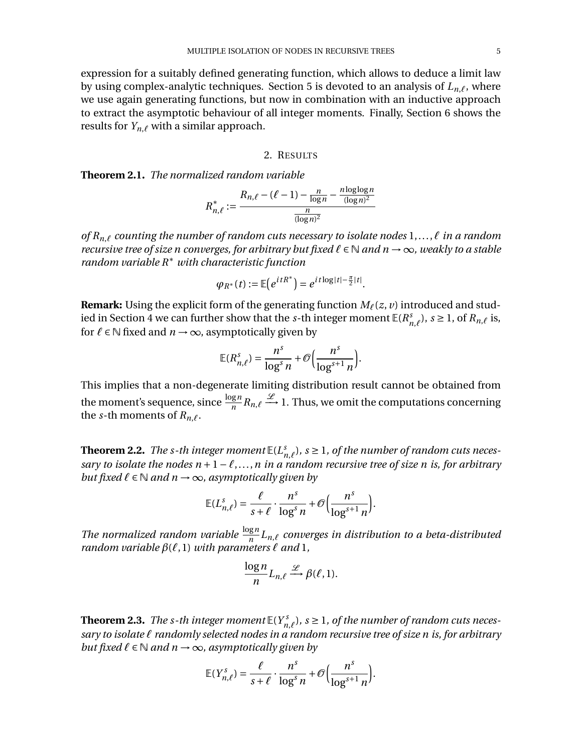expression for a suitably defined generating function, which allows to deduce a limit law by using complex-analytic techniques. Section [5](#page-14-0) is devoted to an analysis of  $L_{n,\ell}$ , where we use again generating functions, but now in combination with an inductive approach to extract the asymptotic behaviour of all integer moments. Finally, Section [6](#page-20-0) shows the results for  $Y_{n,\ell}$  with a similar approach.

### 2. RESULTS

**Theorem 2.1.** *The normalized random variable*

$$
R_{n,\ell}^* := \frac{R_{n,\ell} - (\ell - 1) - \frac{n}{\log n} - \frac{n \log \log n}{(\log n)^2}}{\frac{n}{(\log n)^2}}
$$

*of*  $R_{n,\ell}$  *counting the number of random cuts necessary to isolate nodes*  $1,\ldots,\ell$  *in a random recursive tree of size n converges, for arbitrary but fixed*  $\ell \in \mathbb{N}$  *and n*  $\rightarrow \infty$ *, weakly to a stable random variable R*§ *with characteristic function*

$$
\varphi_{R^*}(t):=\mathbb{E}\big(e^{itR^*}\big)=e^{it\log|t|-\frac{\pi}{2}|t|}.
$$

**Remark:** Using the explicit form of the generating function  $M_\ell(z, v)$  introduced and stud-ied in Section [4](#page-8-0) we can further show that the *s*-th integer moment  $\mathbb{E}(R_{n,\ell}^s)$ ,  $s \ge 1$ , of  $R_{n,\ell}$  is, for  $\ell \in \mathbb{N}$  fixed and  $n \to \infty$ , asymptotically given by

$$
\mathbb{E}(R_{n,\ell}^s) = \frac{n^s}{\log^s n} + \mathcal{O}\Big(\frac{n^s}{\log^{s+1} n}\Big).
$$

This implies that a non-degenerate limiting distribution result cannot be obtained from the moment's sequence, since  $\frac{\log n}{n} R_{n,\ell} \stackrel{\mathscr{L}}{\longrightarrow} 1$ . Thus, we omit the computations concerning the *s*-th moments of  $R_{n,\ell}$ .

<span id="page-4-0"></span>**Theorem 2.2.** *The s-th integer moment*  $\mathbb{E}(L_{n,\ell}^s)$ ,  $s \geq 1$ , *of the number of random cuts necessary to isolate the nodes*  $n+1-\ell,...,n$  *in a random recursive tree of size n is, for arbitrary but fixed*  $\ell \in \mathbb{N}$  *and*  $n \to \infty$ *, asymptotically given by* 

$$
\mathbb{E}(L_{n,\ell}^s) = \frac{\ell}{s+\ell} \cdot \frac{n^s}{\log^s n} + \mathcal{O}\Big(\frac{n^s}{\log^{s+1} n}\Big).
$$

*The normalized random variable*  $\frac{\log n}{n} L_{n,\ell}$  *converges in distribution to a beta-distributed random variable*  $\beta(\ell,1)$  *with parameters*  $\ell$  *and* 1*,* 

$$
\frac{\log n}{n} L_{n,\ell} \xrightarrow{\mathcal{L}} \beta(\ell,1).
$$

<span id="page-4-1"></span>**Theorem 2.3.** *The s-th integer moment*  $\mathbb{E}(Y_{n,\ell}^s)$ ,  $s \geq 1$ , *of the number of random cuts necessary to isolate ` randomly selected nodes in a random recursive tree of size n is, for arbitrary but fixed*  $\ell \in \mathbb{N}$  *and*  $n \rightarrow \infty$ *, asymptotically given by* 

$$
\mathbb{E}(Y_{n,\ell}^s) = \frac{\ell}{s+\ell} \cdot \frac{n^s}{\log^s n} + \mathcal{O}\Big(\frac{n^s}{\log^{s+1} n}\Big).
$$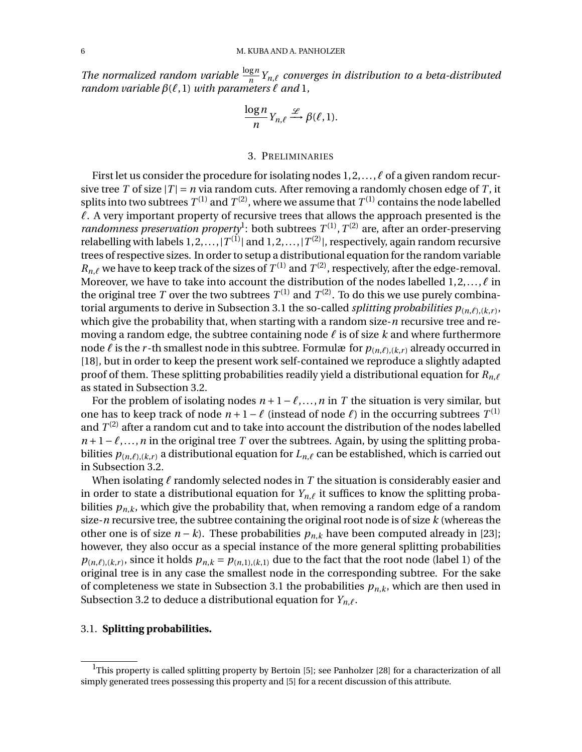*The normalized random variable*  $\frac{\log n}{n} Y_{n,\ell}$  *converges in distribution to a beta-distributed random variable*  $\beta(\ell,1)$  *with parameters*  $\ell$  *and* 1*,* 

$$
\frac{\log n}{n} Y_{n,\ell} \xrightarrow{\mathcal{L}} \beta(\ell,1).
$$

# 3. PRELIMINARIES

<span id="page-5-0"></span>First let us consider the procedure for isolating nodes  $1, 2, \ldots, \ell$  of a given random recursive tree *T* of size  $|T| = n$  via random cuts. After removing a randomly chosen edge of *T*, it splits into two subtrees  $T^{(1)}$  and  $T^{(2)}$ , where we assume that  $T^{(1)}$  contains the node labelled  $\ell$ . A very important property of recursive trees that allows the approach presented is the *randomness preservation property*<sup>[1](#page-5-1)</sup>: both subtrees  $T^{(1)}$ ,  $T^{(2)}$  are, after an order-preserving relabelling with labels  $1, 2, ..., |T^{(1)}|$  and  $1, 2, ..., |T^{(2)}|$ , respectively, again random recursive trees of respective sizes. In order to setup a distributional equation for the random variable  $R_{n,\ell}$  we have to keep track of the sizes of  $T^{(1)}$  and  $T^{(2)}$ , respectively, after the edge-removal. Moreover, we have to take into account the distribution of the nodes labelled  $1, 2, \ldots, \ell$  in the original tree *T* over the two subtrees  $T^{(1)}$  and  $T^{(2)}$ . To do this we use purely combina-torial arguments to derive in Subsection [3.1](#page-5-2) the so-called *splitting probabilities*  $p_{(n,\ell),(k,r)}$ , which give the probability that, when starting with a random size-*n* recursive tree and removing a random edge, the subtree containing node  $\ell$  is of size  $k$  and where furthermore node  $\ell$  is the *r* -th smallest node in this subtree. Formulæ for  $p_{(n,\ell),(k,r)}$  already occurred in [\[18\]](#page-24-15), but in order to keep the present work self-contained we reproduce a slightly adapted proof of them. These splitting probabilities readily yield a distributional equation for  $R_{n,\ell}$ as stated in Subsection [3.2.](#page-7-0)

For the problem of isolating nodes  $n + 1 - \ell, \ldots, n$  in *T* the situation is very similar, but one has to keep track of node  $n + 1 - \ell$  (instead of node  $\ell$ ) in the occurring subtrees  $T^{(1)}$ and  $T^{(2)}$  after a random cut and to take into account the distribution of the nodes labelled  $n+1-\ell,...,n$  in the original tree *T* over the subtrees. Again, by using the splitting probabilities  $p_{(n,\ell),(k,r)}$  a distributional equation for  $L_{n,\ell}$  can be established, which is carried out in Subsection [3.2.](#page-7-0)

When isolating  $\ell$  randomly selected nodes in  $T$  the situation is considerably easier and in order to state a distributional equation for  $Y_{n,\ell}$  it suffices to know the splitting probabilities  $p_{n,k}$ , which give the probability that, when removing a random edge of a random size-*n* recursive tree, the subtree containing the original root node is of size *k* (whereas the other one is of size  $n - k$ ). These probabilities  $p_{n,k}$  have been computed already in [\[23\]](#page-24-1); however, they also occur as a special instance of the more general splitting probabilities  $p_{(n,\ell),(k,r)}$ , since it holds  $p_{n,k} = p_{(n,1),(k,1)}$  due to the fact that the root node (label 1) of the original tree is in any case the smallest node in the corresponding subtree. For the sake of completeness we state in Subsection [3.1](#page-5-2) the probabilities  $p_{n,k}$ , which are then used in Subsection [3.2](#page-7-0) to deduce a distributional equation for  $Y_{n,\ell}$ .

## <span id="page-5-2"></span>3.1. **Splitting probabilities.**

<span id="page-5-1"></span> $1$ This property is called splitting property by Bertoin [\[5\]](#page-24-13); see Panholzer [\[28\]](#page-24-3) for a characterization of all simply generated trees possessing this property and [\[5\]](#page-24-13) for a recent discussion of this attribute.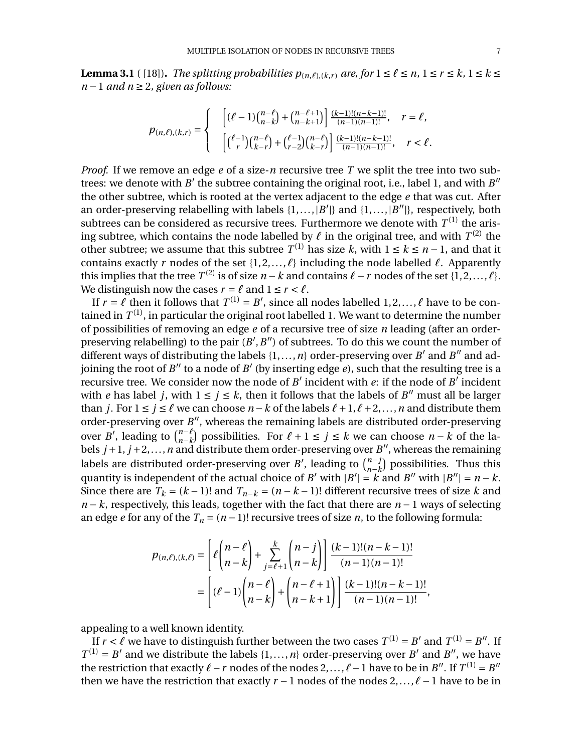<span id="page-6-0"></span>**Lemma 3.1** ( [\[18\]](#page-24-15)). *The splitting probabilities*  $p_{(n,\ell),(k,r)}$  *are, for*  $1 \leq \ell \leq n, 1 \leq r \leq k, 1 \leq k \leq k$  $n-1$  *and*  $n \geq 2$ , given as follows:

$$
p_{(n,\ell),(k,r)} = \begin{cases} & \left[ (\ell-1) \binom{n-\ell}{n-k} + \binom{n-\ell+1}{n-k+1} \right] \frac{(k-1)!(n-k-1)!}{(n-1)(n-1)!}, & r = \ell, \\ & \left[ \binom{\ell-1}{r} \binom{n-\ell}{k-r} + \binom{\ell-1}{r-2} \binom{n-\ell}{k-r} \right] \frac{(k-1)!(n-k-1)!}{(n-1)(n-1)!}, & r < \ell. \end{cases}
$$

*Proof.* If we remove an edge *e* of a size-*n* recursive tree *T* we split the tree into two subtrees: we denote with  $B'$  the subtree containing the original root, i.e., label 1, and with  $B''$ the other subtree, which is rooted at the vertex adjacent to the edge *e* that was cut. After an order-preserving relabelling with labels  $\{1, \ldots, |B'|\}$  and  $\{1, \ldots, |B''|\}$ , respectively, both subtrees can be considered as recursive trees. Furthermore we denote with  $T^{(1)}$  the arising subtree, which contains the node labelled by  $\ell$  in the original tree, and with  $T^{(2)}$  the other subtree; we assume that this subtree  $T^{(1)}$  has size *k*, with 1 ≤ *k* ≤ *n* − 1, and that it contains exactly *r* nodes of the set  $\{1, 2, \ldots, \ell\}$  including the node labelled  $\ell$ . Apparently this implies that the tree  $T^{(2)}$  is of size  $n - k$  and contains  $\ell - r$  nodes of the set  $\{1, 2, ..., \ell\}$ . We distinguish now the cases  $r = \ell$  and  $1 \le r < \ell$ .

If  $r = \ell$  then it follows that  $T^{(1)} = B'$ , since all nodes labelled  $1, 2, ..., \ell$  have to be contained in  $T^{(1)}$ , in particular the original root labelled 1. We want to determine the number of possibilities of removing an edge *e* of a recursive tree of size *n* leading (after an orderpreserving relabelling) to the pair  $(B', B'')$  of subtrees. To do this we count the number of different ways of distributing the labels  $\{1, \ldots, n\}$  order-preserving over *B'* and *B''* and adjoining the root of *B<sup>n</sup>* to a node of *B<sup>'</sup>* (by inserting edge *e*), such that the resulting tree is a recursive tree. We consider now the node of  $B'$  incident with  $e$ : if the node of  $B'$  incident with *e* has label *j*, with  $1 \le j \le k$ , then it follows that the labels of *B<sup>n</sup>* must all be larger than *j*. For  $1 \le j \le \ell$  we can choose  $n - k$  of the labels  $\ell + 1, \ell + 2, \ldots, n$  and distribute them order-preserving over  $B''$ , whereas the remaining labels are distributed order-preserving over *B'*, leading to  $\binom{n-\ell}{n-k}$ ) possibilities. For  $ℓ + 1 ≤ j ≤ k$  we can choose  $n - k$  of the labels  $j+1$ ,  $j+2$ ,..., *n* and distribute them order-preserving over *B<sup>n</sup>*, whereas the remaining labels are distributed order-preserving over *B'*, leading to  $\binom{n-j}{n-k}$ ) possibilities. Thus this quantity is independent of the actual choice of *B*<sup> $\prime$ </sup> with  $|B'| = k$  and *B*<sup> $\prime\prime$ </sup> with  $|B''| = n - k$ . Since there are  $T_k = (k-1)!$  and  $T_{n-k} = (n-k-1)!$  different recursive trees of size *k* and  $n - k$ , respectively, this leads, together with the fact that there are  $n - 1$  ways of selecting an edge *e* for any of the  $T_n = (n-1)!$  recursive trees of size *n*, to the following formula:

$$
p_{(n,\ell),(k,\ell)} = \left[ \ell \binom{n-\ell}{n-k} + \sum_{j=\ell+1}^k \binom{n-j}{n-k} \right] \frac{(k-1)!(n-k-1)!}{(n-1)(n-1)!}
$$
  
= 
$$
\left[ (\ell-1) \binom{n-\ell}{n-k} + \binom{n-\ell+1}{n-k+1} \right] \frac{(k-1)!(n-k-1)!}{(n-1)(n-1)!},
$$

appealing to a well known identity.

If  $r < \ell$  we have to distinguish further between the two cases  $T^{(1)} = B'$  and  $T^{(1)} = B''$ . If  $T^{(1)} = B'$  and we distribute the labels  $\{1, ..., n\}$  order-preserving over *B'* and *B''*, we have the restriction that exactly  $\ell - r$  nodes of the nodes 2,...,  $\ell - 1$  have to be in *B<sup>n</sup>*. If  $T^{(1)} = B^n$ then we have the restriction that exactly  $r - 1$  nodes of the nodes  $2, \ldots, \ell - 1$  have to be in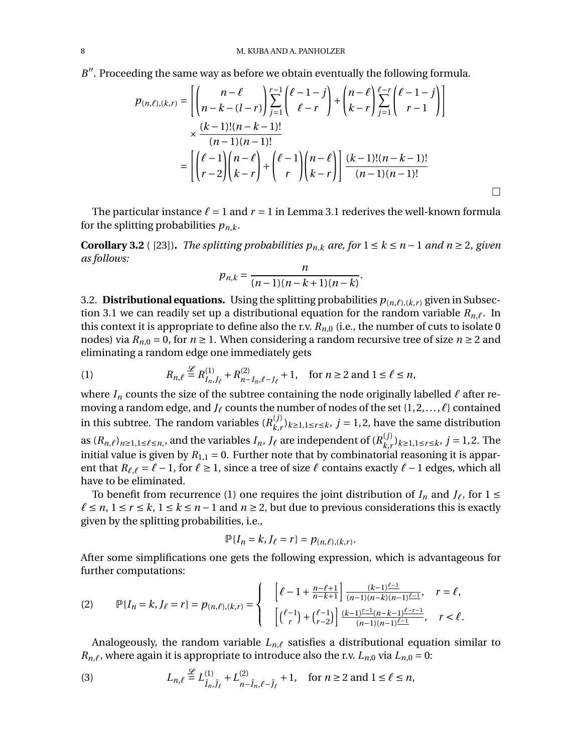$B''$ . Proceeding the same way as before we obtain eventually the following formula.

$$
p_{(n,\ell),(k,r)} = \left[ \binom{n-\ell}{n-k-(l-r)} \sum_{j=1}^{r-1} \binom{\ell-1-j}{\ell-r} + \binom{n-\ell}{k-r} \sum_{j=1}^{\ell-r} \binom{\ell-1-j}{r-1} \right]
$$
  
 
$$
\times \frac{(k-1)!(n-k-1)!}{(n-1)(n-1)!}
$$
  
= 
$$
\left[ \binom{\ell-1}{r-2} \binom{n-\ell}{k-r} + \binom{\ell-1}{r} \binom{n-\ell}{k-r} \right] \frac{(k-1)!(n-k-1)!}{(n-1)(n-1)!}
$$

The particular instance  $\ell = 1$  and  $r = 1$  in Lemma [3.1](#page-6-0) rederives the well-known formula for the splitting probabilities  $p_{n,k}$ .

**Corollary 3.2** ( [\[23\]](#page-24-1)). *The splitting probabilities*  $p_{n,k}$  *are, for*  $1 \le k \le n-1$  *and*  $n \ge 2$ , given *as follows:*

$$
p_{n,k} = \frac{n}{(n-1)(n-k+1)(n-k)}.
$$

<span id="page-7-0"></span>3.2. **Distributional equations.** Using the splitting probabilities  $p_{(n,\ell),(k,r)}$  given in Subsec-tion [3.1](#page-5-2) we can readily set up a distributional equation for the random variable  $R_{n,\ell}$ . In this context it is appropriate to define also the r.v.  $R_{n,0}$  (i.e., the number of cuts to isolate 0 nodes) via  $R_{n,0} = 0$ , for  $n \ge 1$ . When considering a random recursive tree of size  $n \ge 2$  and eliminating a random edge one immediately gets

<span id="page-7-1"></span>(1) 
$$
R_{n,\ell} \stackrel{\mathcal{L}}{=} R_{I_n,J_\ell}^{(1)} + R_{n-I_n,\ell-J_\ell}^{(2)} + 1, \text{ for } n \ge 2 \text{ and } 1 \le \ell \le n,
$$

where  $I_n$  counts the size of the subtree containing the node originally labelled  $\ell$  after removing a random edge, and  $J_\ell$  counts the number of nodes of the set  $\{1, 2, \ldots, \ell\}$  contained in this subtree. The random variables  $(R_{k,r}^{(j)})_{k\geq 1,1\leq r\leq k}$ ,  $j=1,2$ , have the same distribution as  $(R_{n,\ell})_{n\geq 1,1\leq \ell \leq n}$ , and the variables  $I_n$ ,  $J_\ell$  are independent of  $(R^{(j)}_{k,r})_{k\geq 1,1\leq r\leq k}$ ,  $j=1,2$ . The initial value is given by  $R_{1,1} = 0$ . Further note that by combinatorial reasoning it is apparent that  $R_{\ell,\ell} = \ell - 1$ , for  $\ell \geq 1$ , since a tree of size  $\ell$  contains exactly  $\ell - 1$  edges, which all have to be eliminated.

To benefit from recurrence [\(1\)](#page-7-1) one requires the joint distribution of  $I_n$  and  $J_\ell$ , for  $1 \leq$  $\ell \leq n, 1 \leq r \leq k, 1 \leq k \leq n-1$  and  $n \geq 2$ , but due to previous considerations this is exactly given by the splitting probabilities, i.e.,

$$
\mathbb{P}\{I_n = k, J_\ell = r\} = p_{(n,\ell),(k,r)}.
$$

After some simplifications one gets the following expression, which is advantageous for further computations:

<span id="page-7-2"></span>
$$
(2) \qquad \mathbb{P}\{I_{n} = k, J_{\ell} = r\} = p_{(n,\ell),(k,r)} = \begin{cases} \quad \left[\ell - 1 + \frac{n - \ell + 1}{n - k + 1}\right] \frac{(k - 1)^{\ell - 1}}{(n - 1)(n - k)(n - 1)^{\ell - 1}}, & r = \ell, \\ \quad \left[\binom{\ell - 1}{r} + \binom{\ell - 1}{r - 2}\right] \frac{(k - 1)^{r - 1}(n - k - 1)^{\ell - r - 1}}{(n - 1)(n - 1)^{\ell - 1}}, & r < \ell. \end{cases}
$$

Analogeously, the random variable  $L_{n,\ell}$  satisfies a distributional equation similar to  $R_{n,\ell}$ , where again it is appropriate to introduce also the r.v.  $L_{n,0}$  via  $L_{n,0} = 0$ :

<span id="page-7-3"></span>(3) 
$$
L_{n,\ell} \stackrel{\mathcal{L}}{=} L_{\hat{I}_n,\hat{J}_\ell}^{(1)} + L_{n-\hat{I}_n,\ell-\hat{J}_\ell}^{(2)} + 1, \text{ for } n \ge 2 \text{ and } 1 \le \ell \le n,
$$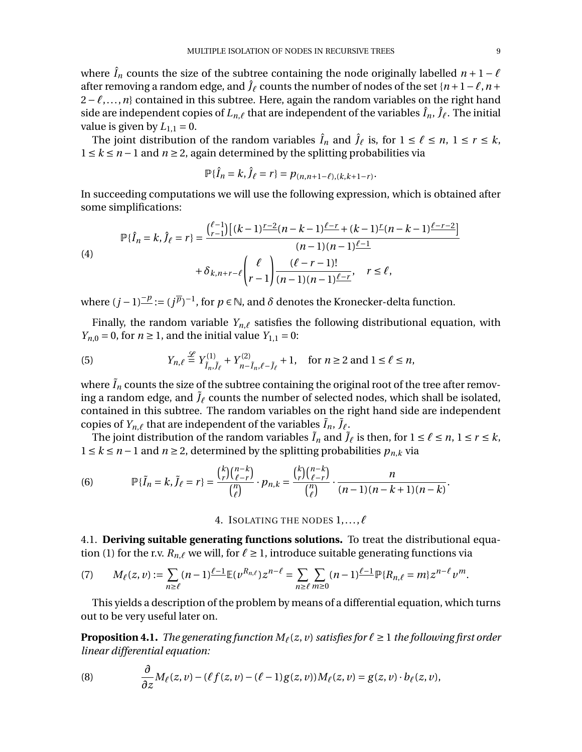where  $\hat{I}_n$  counts the size of the subtree containing the node originally labelled  $n + 1 - \ell$ after removing a random edge, and  $\hat{J}_\ell$  counts the number of nodes of the set  $\{n+1-\ell, n+\ell, n\}$  $2-\ell,...,n$ } contained in this subtree. Here, again the random variables on the right hand side are independent copies of  $L_{n,\ell}$  that are independent of the variables  $\hat{I}_n$ ,  $\hat{J}_\ell$ . The initial value is given by  $L_{1,1} = 0$ .

The joint distribution of the random variables  $\hat{I}_n$  and  $\hat{J}_\ell$  is, for  $1 \leq \ell \leq n$ ,  $1 \leq r \leq k$ ,  $1 \le k \le n-1$  and  $n \ge 2$ , again determined by the splitting probabilities via

$$
\mathbb{P}\{\hat{I}_n = k, \hat{J}_\ell = r\} = p_{(n,n+1-\ell),(k,k+1-r)}.
$$

In succeeding computations we will use the following expression, which is obtained after some simplifications:

(4)  
\n
$$
\mathbb{P}\{\hat{I}_n = k, \hat{J}_\ell = r\} = \frac{\binom{\ell-1}{r-1}\left[(k-1)\frac{r-2}{r}(n-k-1)\frac{\ell-r}{r} + (k-1)^r(n-k-1)\frac{\ell-r-2}{r}\right]}{(n-1)(n-1)\frac{\ell-1}{r}}
$$
\n
$$
+ \delta_{k,n+r-\ell} \binom{\ell}{r-1} \frac{(\ell-r-1)!}{(n-1)(n-1)\frac{\ell-r}{r}}, \quad r \le \ell,
$$

where  $(j-1)^{\underline{-p}} := (j^{\overline{p}})^{-1}$ , for  $p \in \mathbb{N}$ , and  $\delta$  denotes the Kronecker-delta function.

Finally, the random variable  $Y_{n,\ell}$  satisfies the following distributional equation, with *Y<sub>n,0</sub>* = 0, for *n*  $\geq$  1, and the initial value *Y*<sub>1,1</sub> = 0:

<span id="page-8-4"></span>(5) 
$$
Y_{n,\ell} \stackrel{\mathcal{L}}{=} Y_{\tilde{I}_n,\tilde{J}_\ell}^{(1)} + Y_{n-\tilde{I}_n,\ell-\tilde{J}_\ell}^{(2)} + 1, \text{ for } n \ge 2 \text{ and } 1 \le \ell \le n,
$$

where  $\tilde{I}_n$  counts the size of the subtree containing the original root of the tree after removing a random edge, and  $\tilde{J}_\ell$  counts the number of selected nodes, which shall be isolated, contained in this subtree. The random variables on the right hand side are independent copies of  $Y_{n,\ell}$  that are independent of the variables  $\tilde{I}_n$ ,  $\tilde{J}_\ell$ .

The joint distribution of the random variables  $\tilde{I}_n$  and  $\tilde{J}_\ell$  is then, for  $1 \leq \ell \leq n$ ,  $1 \leq r \leq k$ ,  $1 \le k \le n-1$  and  $n \ge 2$ , determined by the splitting probabilities  $p_{n,k}$  via

(6) 
$$
\mathbb{P}\{\tilde{I}_n = k, \tilde{J}_\ell = r\} = \frac{{k \choose r} {n-k \choose \ell-r}}{{n \choose \ell}} \cdot p_{n,k} = \frac{{k \choose r} {n-k \choose \ell-r}}{{n \choose \ell}} \cdot \frac{n}{(n-1)(n-k+1)(n-k)}
$$

4. ISOLATING THE NODES  $1, \ldots, \ell$ 

<span id="page-8-0"></span>4.1. **Deriving suitable generating functions solutions.** To treat the distributional equa-tion [\(1\)](#page-7-1) for the r.v.  $R_{n,\ell}$  we will, for  $\ell \geq 1$ , introduce suitable generating functions via

<span id="page-8-3"></span>(7) 
$$
M_{\ell}(z,\nu) := \sum_{n\geq \ell} (n-1)^{\ell-1} \mathbb{E}(\nu^{R_{n,\ell}}) z^{n-\ell} = \sum_{n\geq \ell} \sum_{m\geq 0} (n-1)^{\ell-1} \mathbb{P} \{R_{n,\ell} = m\} z^{n-\ell} \nu^m.
$$

This yields a description of the problem by means of a differential equation, which turns out to be very useful later on.

<span id="page-8-2"></span>**Proposition 4.1.** *The generating function*  $M_\ell(z, v)$  *satisfies for*  $\ell \geq 1$  *the following first order linear differential equation:*

<span id="page-8-1"></span>(8) 
$$
\frac{\partial}{\partial z}M_{\ell}(z,v)-(\ell f(z,v)-(\ell-1)g(z,v))M_{\ell}(z,v)=g(z,v)\cdot b_{\ell}(z,v),
$$

.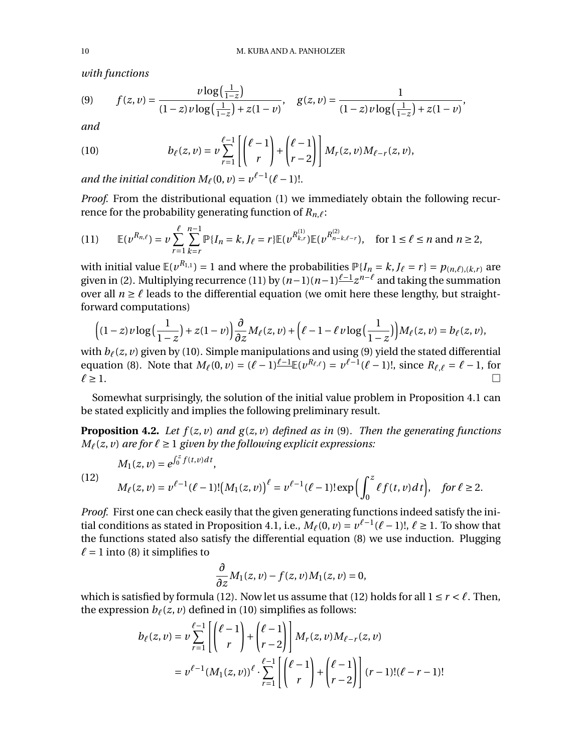*with functions*

<span id="page-9-2"></span>(9) 
$$
f(z,v) = \frac{\nu \log(\frac{1}{1-z})}{(1-z)\nu \log(\frac{1}{1-z}) + z(1-v)}, \quad g(z,v) = \frac{1}{(1-z)\nu \log(\frac{1}{1-z}) + z(1-v)},
$$

*and*

<span id="page-9-1"></span>(10) 
$$
b_{\ell}(z,v) = v \sum_{r=1}^{\ell-1} \left[ \binom{\ell-1}{r} + \binom{\ell-1}{r-2} \right] M_r(z,v) M_{\ell-r}(z,v),
$$

*and the initial condition*  $M_\ell(0, v) = v^{\ell-1}(\ell-1)!$ .

*Proof.* From the distributional equation [\(1\)](#page-7-1) we immediately obtain the following recurrence for the probability generating function of  $R_{n,\ell}$ :

<span id="page-9-0"></span>
$$
(11) \qquad \mathbb{E}(\nu^{R_{n,\ell}}) = \nu \sum_{r=1}^{\ell} \sum_{k=r}^{n-1} \mathbb{P}\{I_n = k, J_{\ell} = r\} \mathbb{E}(\nu^{R_{k,r}^{(1)}}) \mathbb{E}(\nu^{R_{n-k,\ell-r}^{(2)}}), \quad \text{for } 1 \le \ell \le n \text{ and } n \ge 2,
$$

with initial value  $\mathbb{E}(v^{R_{1,1}}) = 1$  and where the probabilities  $\mathbb{P}\{I_n = k, J_\ell = r\} = p_{(n,\ell),(k,r)}$  are given in [\(2\)](#page-7-2). Multiplying recurrence [\(11\)](#page-9-0) by  $(n-1)(n-1)\frac{\ell-1}{2}z^{n-\ell}$  and taking the summation over all  $n \geq \ell$  leads to the differential equation (we omit here these lengthy, but straightforward computations)

$$
\left((1-z)\nu\log\Big(\frac{1}{1-z}\Big)+z(1-\nu)\right)\frac{\partial}{\partial z}M_{\ell}(z,\nu)+\left(\ell-1-\ell\,\nu\log\Big(\frac{1}{1-z}\Big)\right)M_{\ell}(z,\nu)=b_{\ell}(z,\nu),
$$

with  $b_{\ell}(z, v)$  given by [\(10\)](#page-9-1). Simple manipulations and using [\(9\)](#page-9-2) yield the stated differential equation [\(8\)](#page-8-1). Note that  $M_{\ell}(0, \nu) = (\ell - 1)^{\ell-1} \mathbb{E}(\nu^{R_{\ell,\ell}}) = \nu^{\ell-1}(\ell - 1)!,$  since  $R_{\ell,\ell} = \ell - 1$ , for  $\ell \ge 1$ .  $\ell \geq 1.$ 

Somewhat surprisingly, the solution of the initial value problem in Proposition [4.1](#page-8-2) can be stated explicitly and implies the following preliminary result.

<span id="page-9-4"></span>**Proposition 4.2.** *Let f* (*z*, *v*) *and g* (*z*, *v*) *defined as in* [\(9\)](#page-9-2)*. Then the generating functions*  $M_\ell(z, v)$  *are for*  $\ell \geq 1$  *given by the following explicit expressions:* 

<span id="page-9-3"></span>(12) 
$$
M_1(z, v) = e^{\int_0^z f(t, v) dt},
$$

$$
M_\ell(z, v) = v^{\ell-1} (\ell-1)! (M_1(z, v))^{\ell} = v^{\ell-1} (\ell-1)! \exp \left( \int_0^z \ell f(t, v) dt \right), \text{ for } \ell \ge 2.
$$

*Proof.* First one can check easily that the given generating functions indeed satisfy the ini-tial conditions as stated in Proposition [4.1,](#page-8-2) i.e.,  $M_\ell(0, \nu) = \nu^{\ell-1}(\ell-1)!, \ell \ge 1$ . To show that the functions stated also satisfy the differential equation [\(8\)](#page-8-1) we use induction. Plugging  $\ell$  = 1 into [\(8\)](#page-8-1) it simplifies to

$$
\frac{\partial}{\partial z}M_1(z,v) - f(z,v)M_1(z,v) = 0,
$$

which is satisfied by formula [\(12\)](#page-9-3). Now let us assume that (12) holds for all  $1 \le r < \ell$ . Then, the expression  $b_{\ell}(z, v)$  defined in [\(10\)](#page-9-1) simplifies as follows:

$$
b_{\ell}(z, v) = v \sum_{r=1}^{\ell-1} \left[ \binom{\ell-1}{r} + \binom{\ell-1}{r-2} \right] M_r(z, v) M_{\ell-r}(z, v)
$$
  
=  $v^{\ell-1} (M_1(z, v))^{\ell} \cdot \sum_{r=1}^{\ell-1} \left[ \binom{\ell-1}{r} + \binom{\ell-1}{r-2} \right] (r-1)! (\ell-r-1)!$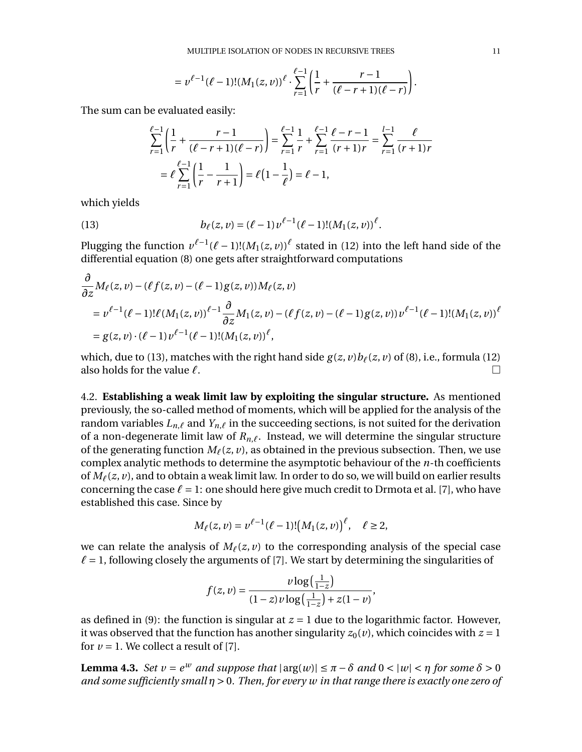$$
= v^{\ell-1}(\ell-1)!(M_1(z,v))^{\ell} \cdot \sum_{r=1}^{\ell-1} \left( \frac{1}{r} + \frac{r-1}{(\ell-r+1)(\ell-r)} \right).
$$

The sum can be evaluated easily:

<span id="page-10-0"></span>
$$
\sum_{r=1}^{\ell-1} \left( \frac{1}{r} + \frac{r-1}{(\ell-r+1)(\ell-r)} \right) = \sum_{r=1}^{\ell-1} \frac{1}{r} + \sum_{r=1}^{\ell-1} \frac{1}{(r+1)r} = \sum_{r=1}^{l-1} \frac{1}{(r+1)r}
$$

$$
= \ell \sum_{r=1}^{\ell-1} \left( \frac{1}{r} - \frac{1}{r+1} \right) = \ell \left( 1 - \frac{1}{\ell} \right) = \ell - 1,
$$

which yields

*@*

(13) 
$$
b_{\ell}(z,v) = (\ell-1)v^{\ell-1}(\ell-1)!(M_1(z,v))^{\ell}.
$$

Plugging the function  $v^{\ell-1}(\ell-1)!(M_1(z, v))^{\ell}$  stated in [\(12\)](#page-9-3) into the left hand side of the differential equation [\(8\)](#page-8-1) one gets after straightforward computations

$$
\frac{\partial}{\partial z} M_{\ell}(z, v) - (\ell f(z, v) - (\ell - 1)g(z, v))M_{\ell}(z, v) \n= v^{\ell-1}(\ell - 1)!\ell (M_1(z, v))^{\ell-1} \frac{\partial}{\partial z} M_1(z, v) - (\ell f(z, v) - (\ell - 1)g(z, v))v^{\ell-1}(\ell - 1)!(M_1(z, v))^{\ell} \n= g(z, v) \cdot (\ell - 1)v^{\ell-1}(\ell - 1)!(M_1(z, v))^{\ell},
$$

which, due to [\(13\)](#page-10-0), matches with the right hand side  $g(z, v)b_{\ell}(z, v)$  of [\(8\)](#page-8-1), i.e., formula [\(12\)](#page-9-3) also holds for the value  $\ell$ .

4.2. **Establishing a weak limit law by exploiting the singular structure.** As mentioned previously, the so-called method of moments, which will be applied for the analysis of the random variables  $L_{n,\ell}$  and  $Y_{n,\ell}$  in the succeeding sections, is not suited for the derivation of a non-degenerate limit law of  $R_{n,\ell}$ . Instead, we will determine the singular structure of the generating function  $M_\ell(z, v)$ , as obtained in the previous subsection. Then, we use complex analytic methods to determine the asymptotic behaviour of the *n*-th coefficients of  $M_\ell(z, v)$ , and to obtain a weak limit law. In order to do so, we will build on earlier results concerning the case  $\ell = 1$ : one should here give much credit to Drmota et al. [\[7\]](#page-24-11), who have established this case. Since by

$$
M_{\ell}(z, v) = v^{\ell-1}(\ell-1)!\big(M_1(z, v)\big)^{\ell}, \quad \ell \ge 2,
$$

we can relate the analysis of  $M_\ell(z, v)$  to the corresponding analysis of the special case  $\ell = 1$ , following closely the arguments of [\[7\]](#page-24-11). We start by determining the singularities of

$$
f(z, v) = \frac{v \log(\frac{1}{1-z})}{(1-z)v \log(\frac{1}{1-z}) + z(1-v)}
$$

,

as defined in [\(9\)](#page-9-2): the function is singular at  $z = 1$  due to the logarithmic factor. However, it was observed that the function has another singularity  $z_0(v)$ , which coincides with  $z = 1$ for  $v = 1$ . We collect a result of [\[7\]](#page-24-11).

<span id="page-10-1"></span>**Lemma 4.3.** *Set*  $v = e^w$  *and suppose that*  $|\arg(w)| \le \pi - \delta$  *and*  $0 < |w| < \eta$  *for some*  $\delta > 0$ *and some sufficiently small*  $\eta$  > 0. Then, for every w in that range there is exactly one zero of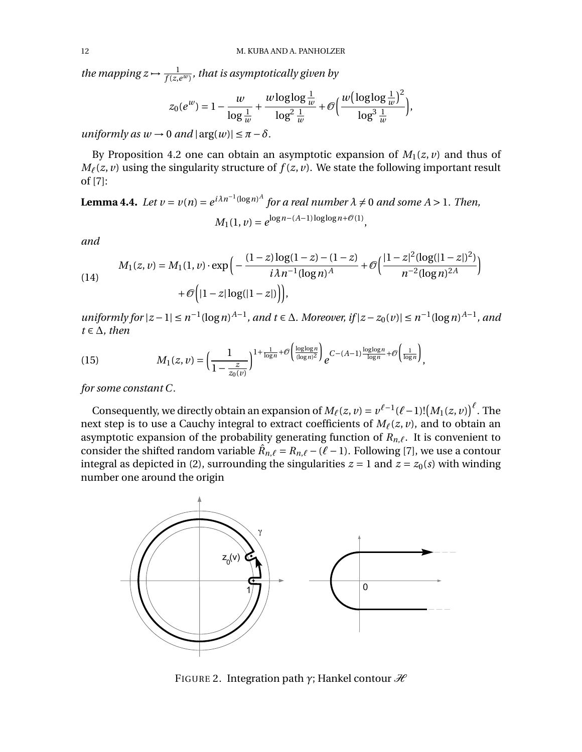the mapping  $z \mapsto \frac{1}{f(z,e^w)}$ , that is asymptotically given by

$$
z_0(e^w) = 1 - \frac{w}{\log \frac{1}{w}} + \frac{w \log \log \frac{1}{w}}{\log^2 \frac{1}{w}} + \mathcal{O}\Big(\frac{w(\log \log \frac{1}{w})^2}{\log^3 \frac{1}{w}}\Big),
$$

*uniformly as*  $w \rightarrow 0$  *<i>and*  $|\arg(w)| \leq \pi - \delta$ .

By Proposition [4.2](#page-9-4) one can obtain an asymptotic expansion of  $M_1(z, v)$  and thus of  $M_{\ell}(z, v)$  using the singularity structure of  $f(z, v)$ . We state the following important result of [\[7\]](#page-24-11):

<span id="page-11-1"></span>**Lemma 4.4.** *Let*  $v = v(n) = e^{i\lambda n^{-1}(\log n)^A}$  *for a real number*  $\lambda \neq 0$  *and some*  $A > 1$ *. Then,*  $M_1(1, v) = e^{\log n - (A-1)\log \log n + \mathcal{O}(1)}$ .

*and*

<span id="page-11-2"></span>(14)  
\n
$$
M_1(z, v) = M_1(1, v) \cdot \exp\left(-\frac{(1-z)\log(1-z) - (1-z)}{i\lambda n^{-1} (\log n)^A} + \mathcal{O}\left(\frac{|1-z|^2 (\log(|1-z|)^2)}{n^{-2} (\log n)^{2A}}\right)\right)
$$
\n
$$
+ \mathcal{O}\left(|1-z| \log(|1-z|)\right),
$$

*uniformly for*  $|z-1| \le n^{-1}(\log n)^{A-1}$ *, and*  $t \in \Delta$ *. Moreover, if*  $|z-z_0(v)| \le n^{-1}(\log n)^{A-1}$ *, and*  $t \in \Delta$ *, then* 

<span id="page-11-3"></span>(15) 
$$
M_1(z,v) = \left(\frac{1}{1-\frac{z}{z_0(v)}}\right)^{1+\frac{1}{\log n}+\mathcal{O}\left(\frac{\log\log n}{(\log n)^2}\right)}e^{C-(A-1)\frac{\log\log n}{\log n}+\mathcal{O}\left(\frac{1}{\log n}\right)},
$$

*for some constant C.*

Consequently, we directly obtain an expansion of  $M_\ell(z, v) = v^{\ell-1}(\ell-1)! (M_1(z, v))^{\ell}$ . The next step is to use a Cauchy integral to extract coefficients of  $M_\ell(z, v)$ , and to obtain an asymptotic expansion of the probability generating function of  $R_{n,\ell}$ . It is convenient to consider the shifted random variable  $\hat{R}_{n,\ell} = R_{n,\ell} - (\ell - 1)$ . Following [\[7\]](#page-24-11), we use a contour integral as depicted in [\(2\)](#page-11-0), surrounding the singularities  $z = 1$  and  $z = z_0(s)$  with winding number one around the origin



<span id="page-11-0"></span>FIGURE 2. Integration path  $\gamma$ ; Hankel contour  $\mathcal{H}$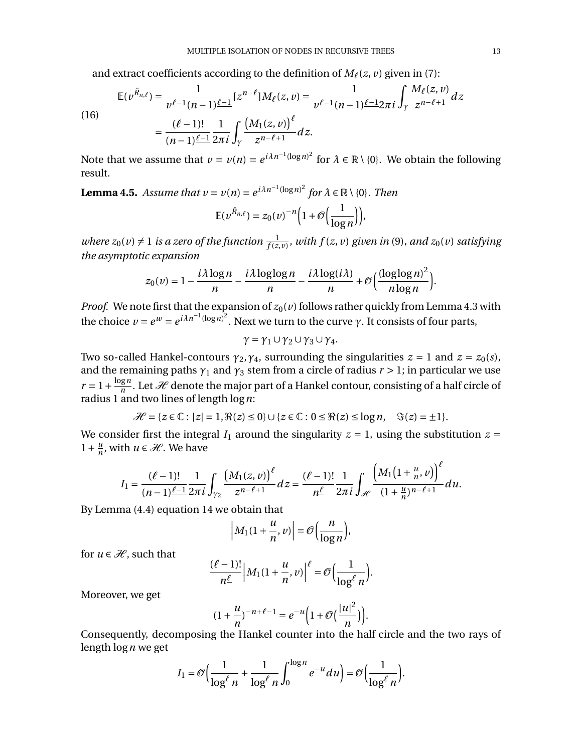and extract coefficients according to the definition of  $M_\ell(z, v)$  given in [\(7\)](#page-8-3):

$$
\mathbb{E}(\nu^{\hat{R}_{n,\ell}}) = \frac{1}{\nu^{\ell-1}(n-1)\frac{\ell-1}{2}} [z^{n-\ell}] M_{\ell}(z,\nu) = \frac{1}{\nu^{\ell-1}(n-1)\frac{\ell-1}{2}} 2\pi i \int_{\gamma} \frac{M_{\ell}(z,\nu)}{z^{n-\ell+1}} dz
$$
  

$$
= \frac{(\ell-1)!}{(n-1)\frac{\ell-1}{2}} \frac{1}{2\pi i} \int_{\gamma} \frac{(M_1(z,\nu))^{\ell}}{z^{n-\ell+1}} dz.
$$

(16)

Note that we assume that  $v = v(n) = e^{i\lambda n^{-1}(\log n)^2}$  for  $\lambda \in \mathbb{R} \setminus \{0\}$ . We obtain the following result.

<span id="page-12-0"></span>**Lemma 4.5.** *Assume that*  $v = v(n) = e^{i\lambda n^{-1}(\log n)^2}$  for  $\lambda \in \mathbb{R} \setminus \{0\}$ . Then

$$
\mathbb{E}(\nu^{\hat{R}_{n,\ell}})=z_0(\nu)^{-n}\Big(1+\mathcal{O}\Big(\frac{1}{\log n}\Big)\Big),\,
$$

*where*  $z_0(v) \neq 1$  *is a zero of the function*  $\frac{1}{f(z,v)}$ *, with*  $f(z,v)$  given in [\(9\)](#page-9-2)*, and*  $z_0(v)$  *satisfying the asymptotic expansion*

$$
z_0(v) = 1 - \frac{i\lambda \log n}{n} - \frac{i\lambda \log \log n}{n} - \frac{i\lambda \log(i\lambda)}{n} + \mathcal{O}\left(\frac{(\log \log n)^2}{n \log n}\right).
$$

*Proof.* We note first that the expansion of  $z_0(\nu)$  follows rather quickly from Lemma [4.3](#page-10-1) with the choice  $v = e^w = e^{i\lambda n^{-1}(\log n)^2}$ . Next we turn to the curve  $\gamma$ . It consists of four parts,

$$
\gamma = \gamma_1 \cup \gamma_2 \cup \gamma_3 \cup \gamma_4.
$$

Two so-called Hankel-contours  $\gamma_2, \gamma_4$ , surrounding the singularities  $z = 1$  and  $z = z_0(s)$ , and the remaining paths  $\gamma_1$  and  $\gamma_3$  stem from a circle of radius  $r > 1$ ; in particular we use  $r = 1 + \frac{\log n}{n}$ . Let *H* denote the major part of a Hankel contour, consisting of a half circle of radius 1 and two lines of length  $\log n$ :

$$
\mathcal{H} = \{z \in \mathbb{C} : |z| = 1, \Re(z) \le 0\} \cup \{z \in \mathbb{C} : 0 \le \Re(z) \le \log n, \quad \Im(z) = \pm 1\}.
$$

We consider first the integral  $I_1$  around the singularity  $z = 1$ , using the substitution  $z =$  $1 + \frac{u}{n}$ , with  $u \in \mathcal{H}$ . We have

$$
I_1 = \frac{(\ell-1)!}{(n-1)^{\ell-1}} \frac{1}{2\pi i} \int_{\gamma_2} \frac{\left(M_1(z,v)\right)^{\ell}}{z^{n-\ell+1}} dz = \frac{(\ell-1)!}{n^{\ell}} \frac{1}{2\pi i} \int_{\mathcal{H}} \frac{\left(M_1\left(1+\frac{u}{n},v\right)\right)^{\ell}}{(1+\frac{u}{n})^{n-\ell+1}} du.
$$

By Lemma [\(4.4\)](#page-11-1) equation [14](#page-11-2) we obtain that

$$
\left|M_1(1+\frac{u}{n},v)\right|=\mathcal{O}\left(\frac{n}{\log n}\right),\
$$

for  $u \in \mathcal{H}$ , such that

$$
\frac{(\ell-1)!}{n^{\ell}}\Big|M_1(1+\frac{u}{n},v)\Big|^{\ell}=\mathcal{O}\Big(\frac{1}{\log^{\ell} n}\Big).
$$

Moreover, we get

$$
(1+\frac{u}{n})^{-n+\ell-1}=e^{-u}\left(1+\mathcal{O}\left(\frac{|u|^2}{n}\right)\right)
$$

.

Consequently, decomposing the Hankel counter into the half circle and the two rays of length log*n* we get

$$
I_1 = \mathcal{O}\Big(\frac{1}{\log^{\ell} n} + \frac{1}{\log^{\ell} n} \int_0^{\log n} e^{-u} du\Big) = \mathcal{O}\Big(\frac{1}{\log^{\ell} n}\Big).
$$

¢¥*`*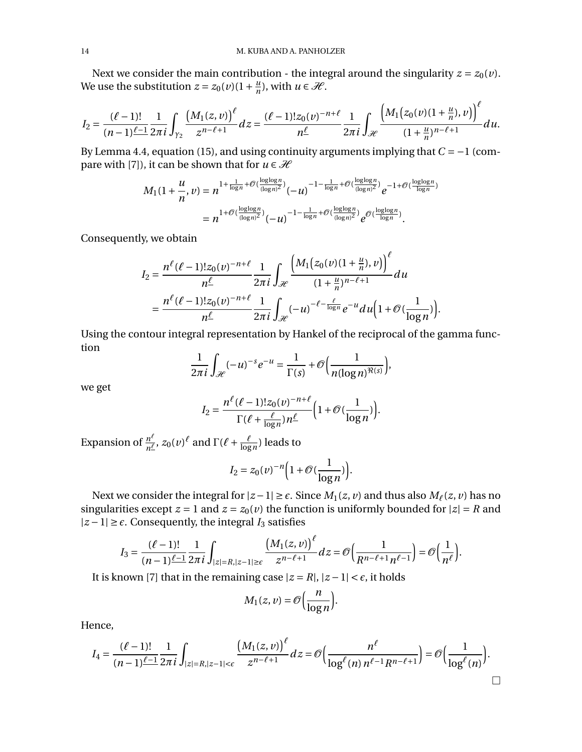Next we consider the main contribution - the integral around the singularity  $z = z_0(v)$ . We use the substitution  $z = z_0(v)(1 + \frac{u}{n})$ , with  $u \in \mathcal{H}$ .

$$
I_2 = \frac{(\ell-1)!}{(n-1)\ell-1} \frac{1}{2\pi i} \int_{\gamma_2} \frac{\left(M_1(z,v)\right)^{\ell}}{z^{n-\ell+1}} dz = \frac{(\ell-1)! z_0(v)^{-n+\ell}}{n^{\ell}} \frac{1}{2\pi i} \int_{\mathcal{H}} \frac{\left(M_1(z_0(v)(1+\frac{u}{n}),v)\right)^{\ell}}{(1+\frac{u}{n})^{n-\ell+1}} du.
$$

By Lemma [4.4,](#page-11-1) equation [\(15\)](#page-11-3), and using continuity arguments implying that  $C = -1$  (com-pare with [\[7\]](#page-24-11)), it can be shown that for  $u \in \mathcal{H}$ 

$$
M_1(1+\frac{u}{n},v) = n^{1+\frac{1}{\log n}+\mathcal{O}\left(\frac{\log\log n}{(\log n)^2}\right)}(-u)^{-1-\frac{1}{\log n}+\mathcal{O}\left(\frac{\log\log n}{(\log n)^2}\right)}e^{-1+\mathcal{O}\left(\frac{\log\log n}{\log n}\right)}
$$

$$
= n^{1+\mathcal{O}\left(\frac{\log\log n}{(\log n)^2}\right)}(-u)^{-1-\frac{1}{\log n}+\mathcal{O}\left(\frac{\log\log n}{(\log n)^2}\right)}e^{\mathcal{O}\left(\frac{\log\log n}{\log n}\right)}.
$$

Consequently, we obtain

$$
I_2 = \frac{n^{\ell}(\ell-1)!z_0(v)^{-n+\ell}}{n^{\ell}} \frac{1}{2\pi i} \int_{\mathcal{H}} \frac{\left(M_1(z_0(v)(1+\frac{u}{n}),v)\right)^{\ell}}{(1+\frac{u}{n})^{n-\ell+1}} du
$$
  
= 
$$
\frac{n^{\ell}(\ell-1)!z_0(v)^{-n+\ell}}{n^{\ell}} \frac{1}{2\pi i} \int_{\mathcal{H}} (-u)^{-\ell-\frac{\ell}{\log n}} e^{-u} du \left(1+\mathcal{O}(\frac{1}{\log n})\right).
$$

Using the contour integral representation by Hankel of the reciprocal of the gamma function

$$
\frac{1}{2\pi i}\int_{\mathscr{H}}(-u)^{-s}e^{-u}=\frac{1}{\Gamma(s)}+\mathscr{O}\Big(\frac{1}{n(\log n)^{\Re(s)}}\Big),\,
$$

we get

$$
I_2 = \frac{n^{\ell}(\ell-1)!z_0(\nu)^{-n+\ell}}{\Gamma(\ell+\frac{\ell}{\log n})n^{\ell}}\Big(1+\mathcal{O}(\frac{1}{\log n})\Big).
$$

Expansion of  $\frac{n^{\ell}}{n^{\ell}}$ ,  $z_0(\nu)^{\ell}$  and  $\Gamma(\ell + \frac{\ell}{\log n})$  leads to

$$
I_2 = z_0(\nu)^{-n} \Big( 1 + \mathcal{O}(\frac{1}{\log n}) \Big).
$$

Next we consider the integral for  $|z - 1| \ge \epsilon$ . Since  $M_1(z, v)$  and thus also  $M_\ell(z, v)$  has no singularities except  $z = 1$  and  $z = z_0(v)$  the function is uniformly bounded for  $|z| = R$  and  $|z-1|$  ≥  $\epsilon$ . Consequently, the integral *I*<sub>3</sub> satisfies

$$
I_3 = \frac{(\ell-1)!}{(n-1)\ell-1} \frac{1}{2\pi i} \int_{|z|=R, |z-1|\geq \epsilon} \frac{\left(M_1(z,\nu)\right)^{\ell}}{z^{n-\ell+1}} dz = \mathcal{O}\left(\frac{1}{R^{n-\ell+1}n^{\ell-1}}\right) = \mathcal{O}\left(\frac{1}{n^{\ell}}\right).
$$

It is known [\[7\]](#page-24-11) that in the remaining case  $|z = R|, |z - 1| < \epsilon$ , it holds

$$
M_1(z,\nu) = \mathcal{O}\left(\frac{n}{\log n}\right).
$$

Hence,

$$
I_4 = \frac{(\ell-1)!}{(n-1)\ell-1} \frac{1}{2\pi i} \int_{|z|=R, |z-1| < \epsilon} \frac{\big(M_1(z,\nu)\big)^{\ell}}{z^{n-\ell+1}} dz = \mathcal{O}\Big(\frac{n^{\ell}}{\log^{\ell}(n) n^{\ell-1} R^{n-\ell+1}}\Big) = \mathcal{O}\Big(\frac{1}{\log^{\ell}(n)}\Big).
$$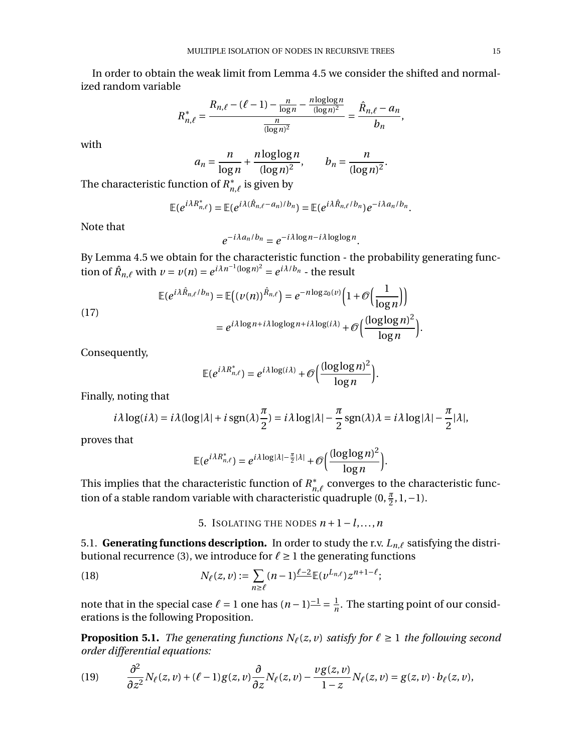In order to obtain the weak limit from Lemma [4.5](#page-12-0) we consider the shifted and normalized random variable

$$
R_{n,\ell}^* = \frac{R_{n,\ell} - (\ell - 1) - \frac{n}{\log n} - \frac{n \log \log n}{(\log n)^2}}{\frac{n}{(\log n)^2}} = \frac{\hat{R}_{n,\ell} - a_n}{b_n},
$$

with

$$
a_n = \frac{n}{\log n} + \frac{n \log \log n}{(\log n)^2}, \qquad b_n = \frac{n}{(\log n)^2}.
$$

The characteristic function of  $R^*_{n,\ell}$  is given by

$$
\mathbb{E}(e^{i\lambda R_{n,\ell}^*})=\mathbb{E}(e^{i\lambda(\hat{R}_{n,\ell}-a_n)/b_n})=\mathbb{E}(e^{i\lambda \hat{R}_{n,\ell}/b_n})e^{-i\lambda a_n/b_n}.
$$

Note that

$$
e^{-i\lambda a_n/b_n} = e^{-i\lambda \log n - i\lambda \log \log n}.
$$

By Lemma [4.5](#page-12-0) we obtain for the characteristic function - the probability generating function of  $\hat{R}_{n,\ell}$  with  $\nu = \nu(n) = e^{i\lambda n^{-1}(\log n)^2} = e^{i\lambda/b_n}$  - the result

(17)  
\n
$$
\mathbb{E}(e^{i\lambda \hat{R}_{n,\ell}/b_n}) = \mathbb{E}((\nu(n))^{\hat{R}_{n,\ell}}) = e^{-n \log z_0(\nu)} \Big( 1 + \mathcal{O}\Big(\frac{1}{\log n}\Big) \Big)
$$
\n
$$
= e^{i\lambda \log n + i\lambda \log \log n + i\lambda \log(i\lambda)} + \mathcal{O}\Big(\frac{(\log \log n)^2}{\log n}\Big).
$$

Consequently,

$$
\mathbb{E}(e^{i\lambda R_{n,\ell}^*})=e^{i\lambda\log(i\lambda)}+\mathcal{O}\bigg(\frac{(\log\log n)^2}{\log n}\bigg).
$$

Finally, noting that

$$
i\lambda \log(i\lambda) = i\lambda (\log|\lambda| + i \operatorname{sgn}(\lambda)\frac{\pi}{2}) = i\lambda \log|\lambda| - \frac{\pi}{2}\operatorname{sgn}(\lambda)\lambda = i\lambda \log|\lambda| - \frac{\pi}{2}|\lambda|,
$$

proves that

$$
\mathbb{E}(e^{i\lambda R_{n,\ell}^*})=e^{i\lambda\log|\lambda|-\frac{\pi}{2}|\lambda|}+\mathcal{O}\Big(\frac{(\log\log n)^2}{\log n}\Big).
$$

This implies that the characteristic function of  $R^*_{n,\ell}$  converges to the characteristic function of a stable random variable with characteristic quadruple  $(0, \frac{\pi}{2}, 1, -1)$ .

<span id="page-14-1"></span>5. ISOLATING THE NODES  $n+1-l,...,n$ 

<span id="page-14-0"></span>5.1. **Generating functions description.** In order to study the r.v.  $L_{n,\ell}$  satisfying the distri-butional recurrence [\(3\)](#page-7-3), we introduce for  $\ell \geq 1$  the generating functions

(18) 
$$
N_{\ell}(z,v) := \sum_{n \geq \ell} (n-1)^{\ell-2} \mathbb{E}(v^{L_{n,\ell}}) z^{n+1-\ell};
$$

note that in the special case  $\ell = 1$  one has  $(n-1)^{-1} = \frac{1}{n}$ . The starting point of our considerations is the following Proposition.

**Proposition 5.1.** *The generating functions*  $N_\ell(z, v)$  *satisfy for*  $\ell \ge 1$  *the following second order differential equations:*

(19) 
$$
\frac{\partial^2}{\partial z^2} N_\ell(z,v) + (\ell-1) g(z,v) \frac{\partial}{\partial z} N_\ell(z,v) - \frac{v g(z,v)}{1-z} N_\ell(z,v) = g(z,v) \cdot b_\ell(z,v),
$$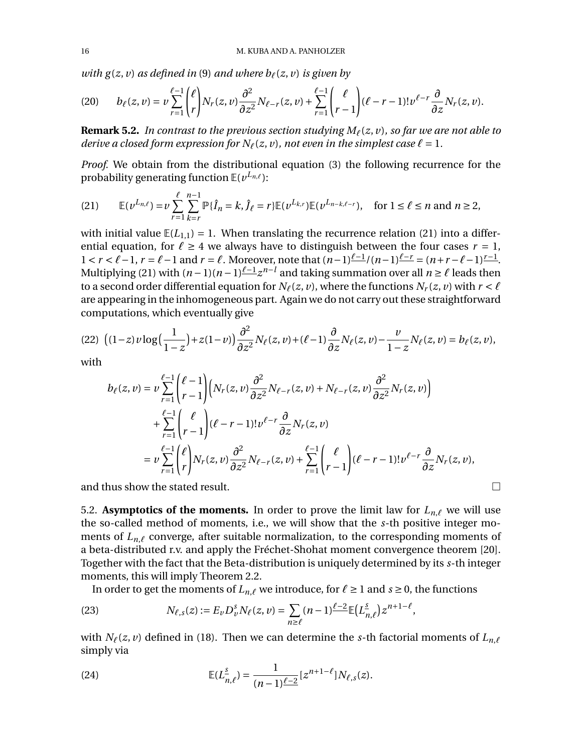*with*  $g(z, v)$  *as defined in* [\(9\)](#page-9-2) *and where*  $b_\ell(z, v)$  *is given by* 

<span id="page-15-3"></span>
$$
(20) \qquad b_{\ell}(z,\nu)=\nu\sum_{r=1}^{\ell-1}\binom{\ell}{r}N_r(z,\nu)\frac{\partial^2}{\partial z^2}N_{\ell-r}(z,\nu)+\sum_{r=1}^{\ell-1}\binom{\ell}{r-1}(\ell-r-1)!\nu^{\ell-r}\frac{\partial}{\partial z}N_r(z,\nu).
$$

**Remark 5.2.** *In contrast to the previous section studying*  $M_\ell(z, v)$ *, so far we are not able to derive a closed form expression for*  $N_\ell(z, v)$ *, not even in the simplest case*  $\ell = 1$ *.* 

*Proof.* We obtain from the distributional equation [\(3\)](#page-7-3) the following recurrence for the probability generating function  $E(\nu^{L_{n,\ell}})$ :

<span id="page-15-0"></span>(21) 
$$
\mathbb{E}(v^{L_{n,\ell}}) = v \sum_{r=1}^{\ell} \sum_{k=r}^{n-1} \mathbb{P}\{\hat{I}_n = k, \hat{J}_\ell = r\} \mathbb{E}(v^{L_{k,r}}) \mathbb{E}(v^{L_{n-k,\ell-r}}), \text{ for } 1 \leq \ell \leq n \text{ and } n \geq 2,
$$

with initial value  $\mathbb{E}(L_{1,1}) = 1$ . When translating the recurrence relation [\(21\)](#page-15-0) into a differential equation, for  $\ell \geq 4$  we always have to distinguish between the four cases  $r = 1$ ,  $1 < r < \ell - 1$ ,  $r = \ell - 1$  and  $r = \ell$ . Moreover, note that  $(n-1)\frac{\ell-1}{n}$   $(n-1)\frac{\ell-r}{r} = (n+r-\ell-1)\frac{r-1}{r}$ . Multiplying [\(21\)](#page-15-0) with  $(n-1)(n-1)\frac{\ell-1}{2}z^{n-l}$  and taking summation over all  $n \geq \ell$  leads then to a second order differential equation for  $N_\ell(z, v)$ , where the functions  $N_r(z, v)$  with  $r < \ell$ are appearing in the inhomogeneous part. Again we do not carry out these straightforward computations, which eventually give

<span id="page-15-2"></span>
$$
(22)\ \left((1-z)\,\nu\log\Big(\frac{1}{1-z}\Big)+z(1-\nu)\right)\frac{\partial^2}{\partial z^2}N_\ell(z,\nu)+(\ell-1)\frac{\partial}{\partial z}N_\ell(z,\nu)-\frac{\nu}{1-z}N_\ell(z,\nu)=b_\ell(z,\nu),
$$

with

$$
b_{\ell}(z,\nu) = \nu \sum_{r=1}^{\ell-1} {\ell-1 \choose r-1} \Big( N_r(z,\nu) \frac{\partial^2}{\partial z^2} N_{\ell-r}(z,\nu) + N_{\ell-r}(z,\nu) \frac{\partial^2}{\partial z^2} N_r(z,\nu) + \sum_{r=1}^{\ell-1} {\ell \choose r-1} (\ell-r-1)! \nu^{\ell-r} \frac{\partial}{\partial z} N_r(z,\nu) = \nu \sum_{r=1}^{\ell-1} {\ell \choose r} N_r(z,\nu) \frac{\partial^2}{\partial z^2} N_{\ell-r}(z,\nu) + \sum_{r=1}^{\ell-1} {\ell \choose r-1} (\ell-r-1)! \nu^{\ell-r} \frac{\partial}{\partial z} N_r(z,\nu),
$$

and thus show the stated result.  $\Box$ 

5.2. **Asymptotics of the moments.** In order to prove the limit law for  $L_{n,\ell}$  we will use the so-called method of moments, i.e., we will show that the *s*-th positive integer moments of  $L_{n,\ell}$  converge, after suitable normalization, to the corresponding moments of a beta-distributed r.v. and apply the Fréchet-Shohat moment convergence theorem [\[20\]](#page-24-19). Together with the fact that the Beta-distribution is uniquely determined by its *s*-th integer moments, this will imply Theorem [2.2.](#page-4-0)

<span id="page-15-1"></span>In order to get the moments of  $L_{n,\ell}$  we introduce, for  $\ell \geq 1$  and  $s \geq 0$ , the functions

(23) 
$$
N_{\ell,s}(z) := E_{\nu} D_{\nu}^{s} N_{\ell}(z,\nu) = \sum_{n \geq \ell} (n-1)^{\ell-2} \mathbb{E}\big(L_{n,\ell}^s\big) z^{n+1-\ell},
$$

with  $N_\ell(z, v)$  defined in [\(18\)](#page-14-1). Then we can determine the *s*-th factorial moments of  $L_{n,\ell}$ simply via

<span id="page-15-4"></span>(24) 
$$
\mathbb{E}(L_{n,\ell}^{\underline{s}}) = \frac{1}{(n-1)\ell - 2} [z^{n+1-\ell}] N_{\ell,s}(z).
$$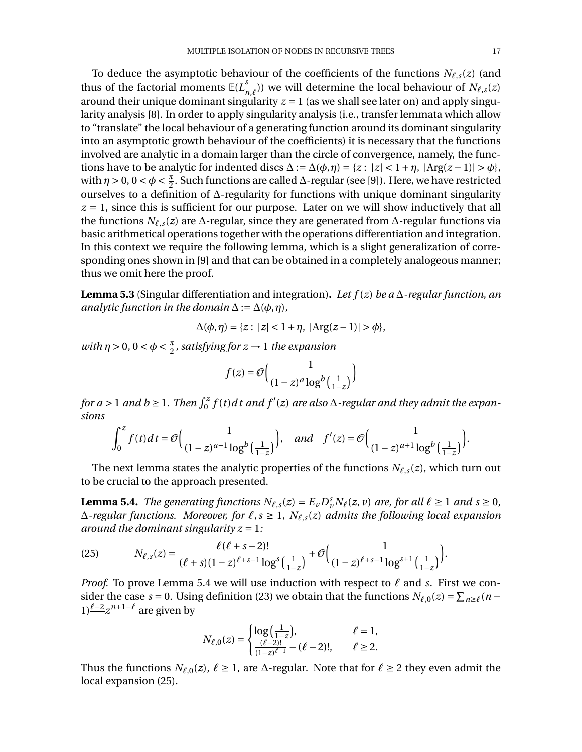To deduce the asymptotic behaviour of the coefficients of the functions  $N_{\ell,s}(z)$  (and thus of the factorial moments  $E(L_{n,\ell}^S)$ ) we will determine the local behaviour of  $N_{\ell,s}(z)$ around their unique dominant singularity  $z = 1$  (as we shall see later on) and apply singularity analysis [\[8\]](#page-24-20). In order to apply singularity analysis (i.e., transfer lemmata which allow to "translate" the local behaviour of a generating function around its dominant singularity into an asymptotic growth behaviour of the coefficients) it is necessary that the functions involved are analytic in a domain larger than the circle of convergence, namely, the functions have to be analytic for indented discs  $\Delta := \Delta(\phi, \eta) = \{z : |z| < 1 + \eta, |\text{Arg}(z - 1)| > \phi\}$ , with  $\eta > 0$ ,  $0 < \phi < \frac{\pi}{2}$ . Such functions are called  $\Delta$ -regular (see [\[9\]](#page-24-21)). Here, we have restricted ourselves to a definition of  $\Delta$ -regularity for functions with unique dominant singularity  $z = 1$ , since this is sufficient for our purpose. Later on we will show inductively that all the functions  $N_{\ell,s}(z)$  are  $\Delta$ -regular, since they are generated from  $\Delta$ -regular functions via basic arithmetical operations together with the operations differentiation and integration. In this context we require the following lemma, which is a slight generalization of corresponding ones shown in [\[9\]](#page-24-21) and that can be obtained in a completely analogeous manner; thus we omit here the proof.

<span id="page-16-2"></span>**Lemma 5.3** (Singular differentiation and integration). Let  $f(z)$  be a  $\Delta$ -regular function, an *analytic function in the domain*  $\Delta := \Delta(\phi, \eta)$ *,* 

$$
\Delta(\phi, \eta) = \{z : |z| < 1 + \eta, |\text{Arg}(z - 1)| > \phi\},
$$

*with*  $\eta > 0$ ,  $0 < \phi < \frac{\pi}{2}$ , satisfying for  $z \to 1$  the expansion

$$
f(z) = \mathcal{O}\left(\frac{1}{(1-z)^a \log^b\left(\frac{1}{1-z}\right)}\right)
$$

for a > 1 and b ≥ 1. Then  $\int_0^z f(t) dt$  and  $f'(z)$  are also  $\Delta$ -regular and they admit the expan*sions*

$$
\int_0^z f(t)dt = \mathcal{O}\Big(\frac{1}{(1-z)^{a-1}\log^b\left(\frac{1}{1-z}\right)}\Big), \quad \text{and} \quad f'(z) = \mathcal{O}\Big(\frac{1}{(1-z)^{a+1}\log^b\left(\frac{1}{1-z}\right)}\Big).
$$

The next lemma states the analytic properties of the functions  $N_{\ell,s}(z)$ , which turn out to be crucial to the approach presented.

<span id="page-16-0"></span>**Lemma 5.4.** *The generating functions*  $N_{\ell,s}(z) = E_{\nu} D_{\nu}^s N_{\ell}(z, \nu)$  *are, for all*  $\ell \ge 1$  *and*  $s \ge 0$ *,*  $\Delta$ -regular functions. Moreover, for  $\ell$ ,  $s \geq 1$ ,  $N_{\ell,s}(z)$  *admits the following local expansion around the dominant singularity*  $z = 1$ *:* 

<span id="page-16-1"></span>(25) 
$$
N_{\ell,s}(z) = \frac{\ell(\ell+s-2)!}{(\ell+s)(1-z)^{\ell+s-1}\log^s\left(\frac{1}{1-z}\right)} + \mathcal{O}\left(\frac{1}{(1-z)^{\ell+s-1}\log^{s+1}\left(\frac{1}{1-z}\right)}\right).
$$

*Proof.* To prove Lemma [5.4](#page-16-0) we will use induction with respect to  $\ell$  and *s*. First we consider the case *s* = 0. Using definition [\(23\)](#page-15-1) we obtain that the functions  $N_{\ell,0}(z) = \sum_{n \geq \ell} (n - \ell)^2$  $1)$ <sup> $\ell$ -2</sup>*z*<sup>*n*+1- $\ell$ </sup> are given by

$$
N_{\ell,0}(z) = \begin{cases} \log\left(\frac{1}{1-z}\right), & \ell = 1, \\ \frac{(\ell-2)!}{(1-z)^{\ell-1}} - (\ell-2)!, & \ell \ge 2. \end{cases}
$$

Thus the functions  $N_{\ell,0}(z)$ ,  $\ell \geq 1$ , are  $\Delta$ -regular. Note that for  $\ell \geq 2$  they even admit the local expansion [\(25\)](#page-16-1).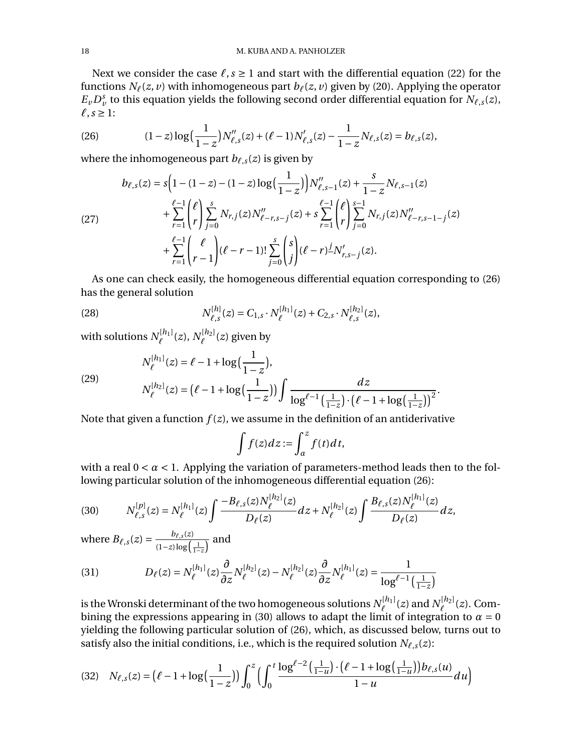Next we consider the case  $\ell$ , *s* ≥ 1 and start with the differential equation [\(22\)](#page-15-2) for the functions  $N_\ell(z, v)$  with inhomogeneous part  $b_\ell(z, v)$  given by [\(20\)](#page-15-3). Applying the operator  $E_v D_v^s$  to this equation yields the following second order differential equation for  $N_{\ell,s}(z)$ ,  $ℓ$ *, s* ≥ 1:

<span id="page-17-0"></span>(26) 
$$
(1-z)\log\left(\frac{1}{1-z}\right)N_{\ell,s}''(z) + (\ell-1)N_{\ell,s}'(z) - \frac{1}{1-z}N_{\ell,s}(z) = b_{\ell,s}(z),
$$

where the inhomogeneous part  $b_{\ell,s}(z)$  is given by

<span id="page-17-2"></span>
$$
b_{\ell,s}(z) = s \Big( 1 - (1 - z) - (1 - z) \log \Big( \frac{1}{1 - z} \Big) \Big) N_{\ell,s-1}''(z) + \frac{s}{1 - z} N_{\ell,s-1}(z) + \sum_{r=1}^{\ell-1} {\ell \choose r} \sum_{j=0}^s N_{r,j}(z) N_{\ell-r,s-j}''(z) + s \sum_{r=1}^{\ell-1} {\ell \choose r} \sum_{j=0}^{s-1} N_{r,j}(z) N_{\ell-r,s-1-j}''(z) + \sum_{r=1}^{\ell-1} {\ell \choose r-1} (\ell-r-1)! \sum_{j=0}^s {s \choose j} (\ell-r) \frac{j}{N_{r,s-j}'}(z).
$$

As one can check easily, the homogeneous differential equation corresponding to [\(26\)](#page-17-0) has the general solution

(28) 
$$
N_{\ell,s}^{[h]}(z) = C_{1,s} \cdot N_{\ell}^{[h_1]}(z) + C_{2,s} \cdot N_{\ell,s}^{[h_2]}(z),
$$

with solutions  $N^{[h_1]}_\ell(z)$ ,  $N^{[h_2]}_\ell(z)$  given by

$$
N_{\ell}^{[h_1]}(z) = \ell - 1 + \log\left(\frac{1}{1-z}\right),
$$
  
\n
$$
N_{\ell}^{[h_2]}(z) = \left(\ell - 1 + \log\left(\frac{1}{1-z}\right)\right) \int \frac{dz}{\log^{\ell-1}\left(\frac{1}{1-z}\right) \cdot \left(\ell - 1 + \log\left(\frac{1}{1-z}\right)\right)^2}.
$$

Note that given a function  $f(z)$ , we assume in the definition of an antiderivative

$$
\int f(z)dz := \int_{\alpha}^{z} f(t)dt,
$$

with a real  $0 < \alpha < 1$ . Applying the variation of parameters-method leads then to the following particular solution of the inhomogeneous differential equation [\(26\)](#page-17-0):

<span id="page-17-1"></span>(30) 
$$
N_{\ell,s}^{[p]}(z) = N_{\ell}^{[h_1]}(z) \int \frac{-B_{\ell,s}(z)N_{\ell}^{[h_2]}(z)}{D_{\ell}(z)} dz + N_{\ell}^{[h_2]}(z) \int \frac{B_{\ell,s}(z)N_{\ell}^{[h_1]}(z)}{D_{\ell}(z)} dz,
$$

where  $B_{\ell,s}(z) = \frac{b_{\ell,s}(z)}{(1-z)\log\left(\frac{1}{1-z}\right)}$  and

(31) 
$$
D_{\ell}(z) = N_{\ell}^{[h_1]}(z) \frac{\partial}{\partial z} N_{\ell}^{[h_2]}(z) - N_{\ell}^{[h_2]}(z) \frac{\partial}{\partial z} N_{\ell}^{[h_1]}(z) = \frac{1}{\log^{\ell-1}(\frac{1}{1-z})}
$$

is the Wronski determinant of the two homogeneous solutions  $N^{[h_1]}_\ell(z)$  and  $N^{[h_2]}_\ell(z)$ . Com-bining the expressions appearing in [\(30\)](#page-17-1) allows to adapt the limit of integration to  $\alpha = 0$ yielding the following particular solution of [\(26\)](#page-17-0), which, as discussed below, turns out to satisfy also the initial conditions, i.e., which is the required solution  $N_{\ell,s}(z)$ :

<span id="page-17-3"></span>
$$
(32) \quad N_{\ell,s}(z) = \left(\ell - 1 + \log\left(\frac{1}{1-z}\right)\right) \int_0^z \left(\int_0^t \frac{\log^{\ell-2}\left(\frac{1}{1-u}\right) \cdot \left(\ell - 1 + \log\left(\frac{1}{1-u}\right)\right) b_{\ell,s}(u)}{1-u} du\right)
$$

(29)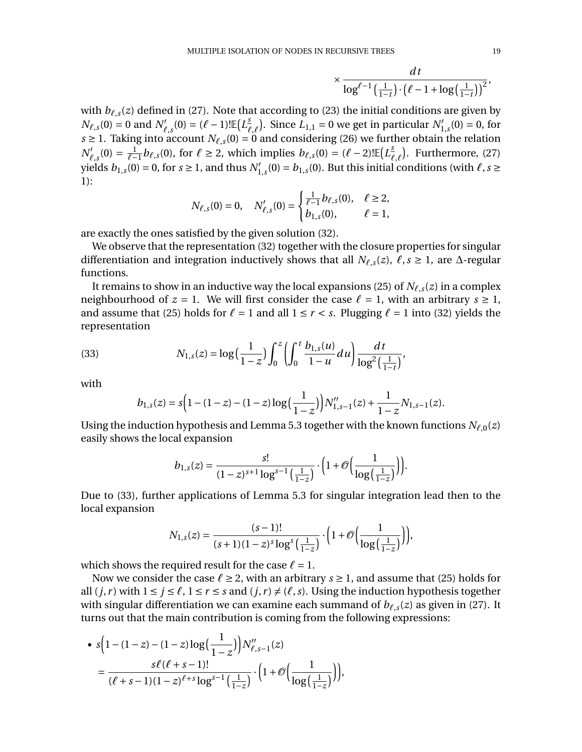$$
\times \frac{dt}{\log^{\ell-1}\left(\frac{1}{1-t}\right)\cdot\left(\ell-1+\log\left(\frac{1}{1-t}\right)\right)^2},\,
$$

with  $b_{\ell,s}(z)$  defined in [\(27\)](#page-17-2). Note that according to [\(23\)](#page-15-1) the initial conditions are given by  $N_{\ell,s}(0) = 0$  and  $N'_{\ell,s}(0) = (\ell-1)! \mathbb{E}\left(L_{\ell,\ell}^{\frac{s}{2}}\right)$ . Since  $L_{1,1} = 0$  we get in particular  $N'_{1,s}(0) = 0$ , for *s* ≥ 1. Taking into account *N*<sup>*i*</sup>,*s*(0) = 0 and considering [\(26\)](#page-17-0) we further obtain the relation  $N'_{\ell,s}(0) = \frac{1}{\ell-1} b_{\ell,s}(0)$ , for  $\ell \ge 2$ , which implies  $b_{\ell,s}(0) = (\ell-2)!\mathbb{E}[L^s_{\ell,\ell}]$ . Furthermore, [\(27\)](#page-17-2) yields  $b_{1,s}(0) = 0$ , for  $s \ge 1$ , and thus  $N_{1,s}'(0) = b_{1,s}(0).$  But this initial conditions (with  $\ell, s \ge 1$ 1):

$$
N_{\ell,s}(0) = 0, \quad N'_{\ell,s}(0) = \begin{cases} \frac{1}{\ell-1} b_{\ell,s}(0), & \ell \ge 2, \\ b_{1,s}(0), & \ell = 1, \end{cases}
$$

are exactly the ones satisfied by the given solution [\(32\)](#page-17-3).

We observe that the representation [\(32\)](#page-17-3) together with the closure properties for singular differentiation and integration inductively shows that all  $N_{\ell,s}(z)$ ,  $\ell, s \geq 1$ , are  $\Delta$ -regular functions.

It remains to show in an inductive way the local expansions [\(25\)](#page-16-1) of  $N_{\ell,s}(z)$  in a complex neighbourhood of  $z = 1$ . We will first consider the case  $\ell = 1$ , with an arbitrary  $s \ge 1$ , and assume that [\(25\)](#page-16-1) holds for  $\ell = 1$  and all  $1 \le r < s$ . Plugging  $\ell = 1$  into [\(32\)](#page-17-3) yields the representation

(33) 
$$
N_{1,s}(z) = \log\left(\frac{1}{1-z}\right) \int_0^z \left(\int_0^t \frac{b_{1,s}(u)}{1-u} du\right) \frac{dt}{\log^2\left(\frac{1}{1-t}\right)},
$$

with

<span id="page-18-0"></span>
$$
b_{1,s}(z) = s\Big(1-(1-z)-(1-z)\log\Big(\frac{1}{1-z}\Big)\Big)N_{1,s-1}''(z) + \frac{1}{1-z}N_{1,s-1}(z).
$$

Using the induction hypothesis and Lemma [5.3](#page-16-2) together with the known functions  $N_{\ell,0}(z)$ easily shows the local expansion

$$
b_{1,s}(z) = \frac{s!}{(1-z)^{s+1} \log^{s-1}\left(\frac{1}{1-z}\right)} \cdot \left(1 + \mathcal{O}\left(\frac{1}{\log\left(\frac{1}{1-z}\right)}\right)\right).
$$

Due to [\(33\)](#page-18-0), further applications of Lemma [5.3](#page-16-2) for singular integration lead then to the local expansion

$$
N_{1,s}(z) = \frac{(s-1)!}{(s+1)(1-z)^s \log^s\left(\frac{1}{1-z}\right)} \cdot \left(1 + \mathcal{O}\left(\frac{1}{\log\left(\frac{1}{1-z}\right)}\right)\right),
$$

which shows the required result for the case  $\ell = 1$ .

Now we consider the case  $\ell \geq 2$ , with an arbitrary  $s \geq 1$ , and assume that [\(25\)](#page-16-1) holds for all  $(j, r)$  with  $1 \le j \le \ell$ ,  $1 \le r \le s$  and  $(j, r) \ne (\ell, s)$ . Using the induction hypothesis together with singular differentiation we can examine each summand of  $b_{\ell,s}(z)$  as given in [\(27\)](#page-17-2). It turns out that the main contribution is coming from the following expressions:

• 
$$
s(1-(1-z)-(1-z)\log(\frac{1}{1-z}))N''_{\ell,s-1}(z)
$$
  
=  $\frac{s\ell(\ell+s-1)!}{(\ell+s-1)(1-z)^{\ell+s}\log^{s-1}(\frac{1}{1-z})} \cdot (1+\mathcal{O}(\frac{1}{\log(\frac{1}{1-z})}))$ ,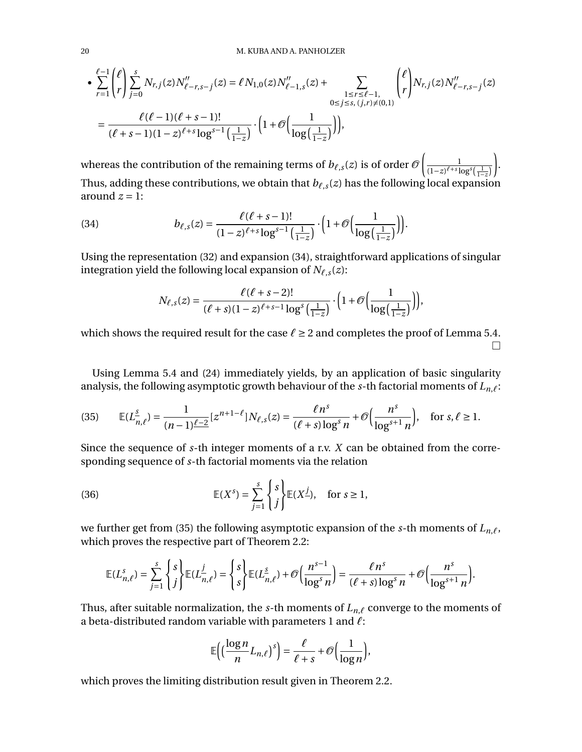$$
\begin{split} \bullet\sum_{r=1}^{\ell-1}\binom{\ell}{r}\sum_{j=0}^{s}N_{r,j}(z)N_{\ell-r,s-j}''(z)&=\ell\,N_{1,0}(z)N_{\ell-1,s}''(z)+\sum_{\substack{1\leq r\leq \ell-1,\\0\leq j\leq s,\, (j,r)\neq (0,1)}}\binom{\ell}{r}N_{r,j}(z)N_{\ell-r,s-j}''(z)\\ &=\frac{\ell(\ell-1)(\ell+s-1)!}{(\ell+s-1)(1-z)^{\ell+s}\log^{s-1}\big(\frac{1}{1-z}\big)}\cdot\bigg(1+\mathcal{O}\bigg(\frac{1}{\log\big(\frac{1}{1-z}\big)}\bigg)\bigg), \end{split}
$$

whereas the contribution of the remaining terms of  $b_{\ell,s}(z)$  is of order  $\mathscr O$  $\begin{array}{ccc} \hline & & 1 \end{array}$  $\frac{1}{(1-z)^{\ell+s} \log^s\left(\frac{1}{1-z}\right)}$ ∂ . Thus, adding these contributions, we obtain that  $b_{\ell,s}(z)$  has the following local expansion around  $z = 1$ :

(34) 
$$
b_{\ell,s}(z) = \frac{\ell(\ell+s-1)!}{(1-z)^{\ell+s}\log^{s-1}\left(\frac{1}{1-z}\right)} \cdot \left(1+\mathcal{O}\left(\frac{1}{\log\left(\frac{1}{1-z}\right)}\right)\right).
$$

Using the representation [\(32\)](#page-17-3) and expansion [\(34\)](#page-19-0), straightforward applications of singular integration yield the following local expansion of  $N_{\ell,s}(z)$ :

<span id="page-19-0"></span>
$$
N_{\ell,s}(z) = \frac{\ell(\ell+s-2)!}{(\ell+s)(1-z)^{\ell+s-1}\log^s\left(\frac{1}{1-z}\right)} \cdot \left(1+\mathcal{O}\left(\frac{1}{\log\left(\frac{1}{1-z}\right)}\right)\right),
$$

which shows the required result for the case  $\ell \geq 2$  and completes the proof of Lemma [5.4.](#page-16-0)  $\Box$ 

Using Lemma [5.4](#page-16-0) and [\(24\)](#page-15-4) immediately yields, by an application of basic singularity analysis, the following asymptotic growth behaviour of the  $s$ -th factorial moments of  $L_{n,\ell}$ :

<span id="page-19-1"></span>(35) 
$$
\mathbb{E}(L_{n,\ell}^{\underline{s}}) = \frac{1}{(n-1)\ell - 2} [z^{n+1-\ell}] N_{\ell,s}(z) = \frac{\ell n^s}{(\ell+s) \log^s n} + \mathcal{O}\left(\frac{n^s}{\log^{s+1} n}\right), \text{ for } s,\ell \ge 1.
$$

Since the sequence of *s*-th integer moments of a r.v. *X* can be obtained from the corresponding sequence of *s*-th factorial moments via the relation

(36) 
$$
\mathbb{E}(X^{s}) = \sum_{j=1}^{s} \begin{cases} s \\ j \end{cases} \mathbb{E}(X^{j}), \text{ for } s \ge 1,
$$

we further get from [\(35\)](#page-19-1) the following asymptotic expansion of the *s*-th moments of  $L_{n,\ell}$ , which proves the respective part of Theorem [2.2:](#page-4-0)

<span id="page-19-2"></span>
$$
\mathbb{E}(L_{n,\ell}^s) = \sum_{j=1}^s \begin{Bmatrix} s \\ j \end{Bmatrix} \mathbb{E}(L_{n,\ell}^j) = \begin{Bmatrix} s \\ s \end{Bmatrix} \mathbb{E}(L_{n,\ell}^s) + \mathcal{O}\left(\frac{n^{s-1}}{\log^s n}\right) = \frac{\ell n^s}{(\ell+s)\log^s n} + \mathcal{O}\left(\frac{n^s}{\log^{s+1} n}\right).
$$

Thus, after suitable normalization, the *s*-th moments of  $L_{n,\ell}$  converge to the moments of a beta-distributed random variable with parameters 1 and *`*:

$$
\mathbb{E}\Big(\Big(\frac{\log n}{n}L_{n,\ell}\Big)^s\Big)=\frac{\ell}{\ell+s}+\mathcal{O}\Big(\frac{1}{\log n}\Big),\,
$$

which proves the limiting distribution result given in Theorem [2.2.](#page-4-0)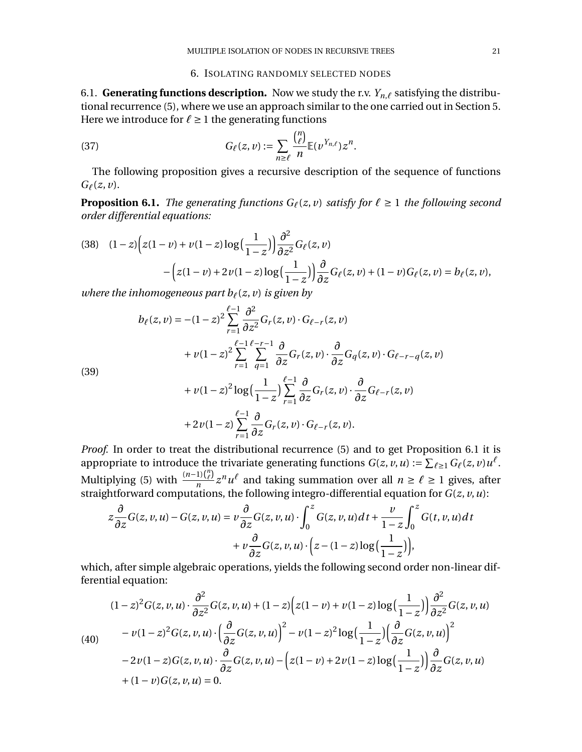### <span id="page-20-4"></span>6. ISOLATING RANDOMLY SELECTED NODES

<span id="page-20-0"></span>6.1. **Generating functions description.** Now we study the r.v.  $Y_{n,\ell}$  satisfying the distributional recurrence [\(5\)](#page-8-4), where we use an approach similar to the one carried out in Section [5.](#page-14-0) Here we introduce for  $\ell \geq 1$  the generating functions

(37) 
$$
G_{\ell}(z,\nu) := \sum_{n\geq \ell} \frac{\binom{n}{\ell}}{n} \mathbb{E}(\nu^{Y_{n,\ell}}) z^n.
$$

The following proposition gives a recursive description of the sequence of functions  $G_{\ell}(z, v)$ .

<span id="page-20-1"></span>**Proposition 6.1.** *The generating functions*  $G_\ell(z, v)$  *satisfy for*  $\ell \geq 1$  *the following second order differential equations:*

<span id="page-20-2"></span>(38) 
$$
(1-z)\Big(z(1-v)+v(1-z)\log\Big(\frac{1}{1-z}\Big)\Big)\frac{\partial^2}{\partial z^2}G_\ell(z,v) -\Big(z(1-v)+2v(1-z)\log\Big(\frac{1}{1-z}\Big)\Big)\frac{\partial}{\partial z}G_\ell(z,v)+(1-v)G_\ell(z,v)=b_\ell(z,v),
$$

*where the inhomogeneous part*  $b_{\ell}(z, v)$  *is given by* 

$$
b_{\ell}(z, v) = -(1-z)^{2} \sum_{r=1}^{\ell-1} \frac{\partial^{2}}{\partial z^{2}} G_{r}(z, v) \cdot G_{\ell-r}(z, v)
$$
  
+  $v(1-z)^{2} \sum_{r=1}^{\ell-1} \sum_{q=1}^{\ell-r-1} \frac{\partial}{\partial z} G_{r}(z, v) \cdot \frac{\partial}{\partial z} G_{q}(z, v) \cdot G_{\ell-r-q}(z, v)$ 

<span id="page-20-5"></span>(39)

+ 
$$
\nu(1-z)^2 \log\left(\frac{1}{1-z}\right) \sum_{r=1}^{\ell-1} \frac{\partial}{\partial z} G_r(z,\nu) \cdot \frac{\partial}{\partial z} G_{\ell-r}(z,\nu)
$$
  
+  $2\nu(1-z) \sum_{r=1}^{\ell-1} \frac{\partial}{\partial z} G_r(z,\nu) \cdot G_{\ell-r}(z,\nu)$ .

*Proof.* In order to treat the distributional recurrence [\(5\)](#page-8-4) and to get Proposition [6.1](#page-20-1) it is appropriate to introduce the trivariate generating functions  $G(z, v, u) := \sum_{\ell \geq 1} G_{\ell}(z, v) u^{\ell}$ . Multiplying [\(5\)](#page-8-4) with  $\frac{(n-1)\binom{n}{\ell}}{n} z^n u^{\ell}$  and taking summation over all  $n \ge \ell \ge 1$  gives, after straightforward computations, the following integro-differential equation for *G*(*z*, *v*,*u*):

$$
z\frac{\partial}{\partial z}G(z, v, u) - G(z, v, u) = v\frac{\partial}{\partial z}G(z, v, u) \cdot \int_0^z G(z, v, u) dt + \frac{v}{1 - z}\int_0^z G(t, v, u) dt + v\frac{\partial}{\partial z}G(z, v, u) \cdot \left(z - (1 - z)\log\left(\frac{1}{1 - z}\right)\right),
$$

which, after simple algebraic operations, yields the following second order non-linear differential equation:

<span id="page-20-3"></span>(40)  
\n
$$
(1-z)^2 G(z, v, u) \cdot \frac{\partial^2}{\partial z^2} G(z, v, u) + (1-z) \Big( z(1-v) + v(1-z) \log \Big( \frac{1}{1-z} \Big) \Big) \frac{\partial^2}{\partial z^2} G(z, v, u)
$$
\n
$$
-v(1-z)^2 G(z, v, u) \cdot \Big( \frac{\partial}{\partial z} G(z, v, u) \Big)^2 - v(1-z)^2 \log \Big( \frac{1}{1-z} \Big) \Big( \frac{\partial}{\partial z} G(z, v, u) \Big)^2
$$
\n
$$
-2v(1-z) G(z, v, u) \cdot \frac{\partial}{\partial z} G(z, v, u) - \Big( z(1-v) + 2v(1-z) \log \Big( \frac{1}{1-z} \Big) \Big) \frac{\partial}{\partial z} G(z, v, u)
$$
\n
$$
+ (1-v) G(z, v, u) = 0.
$$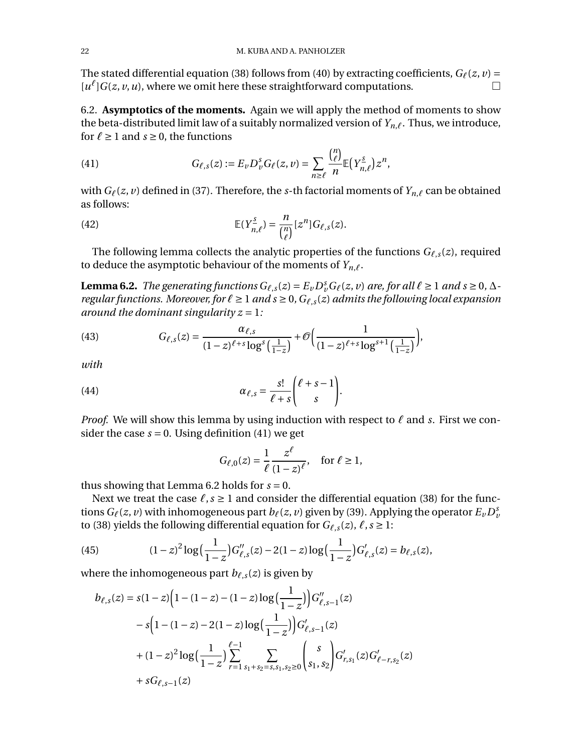The stated differential equation [\(38\)](#page-20-2) follows from [\(40\)](#page-20-3) by extracting coefficients,  $G_\ell(z, v)$  =  $[u^{\ell}]G(z, v, u)$ , where we omit here these straightforward computations.

6.2. **Asymptotics of the moments.** Again we will apply the method of moments to show the beta-distributed limit law of a suitably normalized version of  $Y_{n,\ell}$ . Thus, we introduce, for  $\ell \geq 1$  and  $s \geq 0$ , the functions

<span id="page-21-0"></span>(41) 
$$
G_{\ell,s}(z) := E_{\nu} D_{\nu}^s G_{\ell}(z,\nu) = \sum_{n \geq \ell} \frac{{n \choose \ell}}{n} \mathbb{E}(Y_{n,\ell}^s) z^n,
$$

with  $G_\ell(z, v)$  defined in [\(37\)](#page-20-4). Therefore, the *s*-th factorial moments of  $Y_{n,\ell}$  can be obtained as follows:

(42) 
$$
\mathbb{E}(Y_{n,\ell}^{\underline{s}})=\frac{n}{\binom{n}{\ell}}[z^n]G_{\ell,s}(z).
$$

The following lemma collects the analytic properties of the functions  $G_{\ell,s}(z)$ , required to deduce the asymptotic behaviour of the moments of  $Y_{n,\ell}$ .

<span id="page-21-1"></span>**Lemma 6.2.** *The generating functions*  $G_{\ell,s}(z) = E_{\nu}D_{\nu}^sG_{\ell}(z,\nu)$  *are, for all*  $\ell \ge 1$  *and*  $s \ge 0$ ,  $\Delta$ *regular functions. Moreover, for*  $\ell \geq 1$  *and*  $s \geq 0$ ,  $G_{\ell,s}(z)$  *admits the following local expansion around the dominant singularity z =* 1*:*

<span id="page-21-3"></span>(43) 
$$
G_{\ell,s}(z) = \frac{\alpha_{\ell,s}}{(1-z)^{\ell+s} \log^s \left(\frac{1}{1-z}\right)} + \mathcal{O}\left(\frac{1}{(1-z)^{\ell+s} \log^{s+1} \left(\frac{1}{1-z}\right)}\right),
$$

*with*

(44) 
$$
\alpha_{\ell,s} = \frac{s!}{\ell+s} \binom{\ell+s-1}{s}.
$$

*Proof.* We will show this lemma by using induction with respect to  $\ell$  and *s*. First we consider the case  $s = 0$ . Using definition [\(41\)](#page-21-0) we get

<span id="page-21-4"></span>
$$
G_{\ell,0}(z) = \frac{1}{\ell} \frac{z^{\ell}}{(1-z)^{\ell}}, \quad \text{for } \ell \ge 1,
$$

thus showing that Lemma [6.2](#page-21-1) holds for  $s = 0$ .

Next we treat the case  $\ell$ ,  $s \ge 1$  and consider the differential equation [\(38\)](#page-20-2) for the functions  $G_\ell(z, v)$  with inhomogeneous part  $b_\ell(z, v)$  given by [\(39\)](#page-20-5). Applying the operator  $E_\nu D_\nu^s$ to [\(38\)](#page-20-2) yields the following differential equation for  $G_{\ell,s}(z)$ ,  $\ell, s \geq 1$ :

<span id="page-21-2"></span>(45) 
$$
(1-z)^2 \log \left(\frac{1}{1-z}\right) G_{\ell,s}'(z) - 2(1-z) \log \left(\frac{1}{1-z}\right) G_{\ell,s}'(z) = b_{\ell,s}(z),
$$

where the inhomogeneous part  $b_{\ell,s}(z)$  is given by

$$
b_{\ell,s}(z) = s(1-z)\left(1-(1-z)-(1-z)\log\left(\frac{1}{1-z}\right)\right)G'_{\ell,s-1}(z)
$$
  

$$
-s\left(1-(1-z)-2(1-z)\log\left(\frac{1}{1-z}\right)\right)G'_{\ell,s-1}(z)
$$
  

$$
+(1-z)^2\log\left(\frac{1}{1-z}\right)\sum_{r=1}^{\ell-1}\sum_{s_1+s_2=s,s_1,s_2\geq 0}\binom{s}{s_1,s_2}G'_{r,s_1}(z)G'_{\ell-r,s_2}(z)
$$
  

$$
+sG_{\ell,s-1}(z)
$$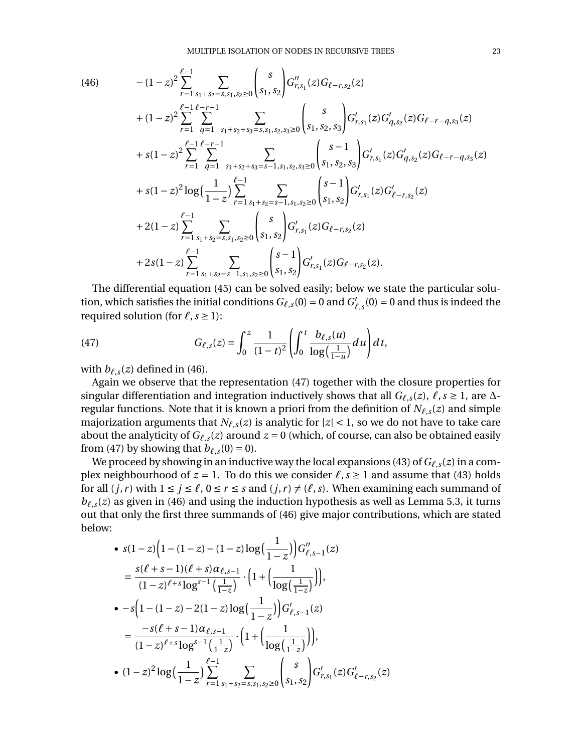$$
(46)
$$

<span id="page-22-0"></span>
$$
(46) \qquad - (1-z)^2 \sum_{r=1}^{\ell-1} \sum_{s_1+s_2=s,s_1,s_2\geq 0} {s \choose s_1,s_2} G''_{r,s_1}(z)G_{\ell-r,s_2}(z) \n+ (1-z)^2 \sum_{r=1}^{\ell-1} \sum_{q=1}^{\ell-r-1} \sum_{s_1+s_2+s_3=s,s_1,s_2,s_3\geq 0} {s \choose s_1,s_2,s_3} G'_{r,s_1}(z)G'_{q,s_2}(z)G_{\ell-r-q,s_3}(z) \n+ s(1-z)^2 \sum_{r=1}^{\ell-1} \sum_{q=1}^{\ell-r-1} \sum_{s_1+s_2+s_3=s-1,s_1,s_2,s_3\geq 0} {s-1 \choose s_1,s_2,s_3} G'_{r,s_1}(z)G'_{q,s_2}(z)G_{\ell-r-q,s_3}(z) \n+ s(1-z)^2 \log(\frac{1}{1-z}) \sum_{r=1}^{\ell-1} \sum_{s_1+s_2=s-1,s_1,s_2\geq 0} {s-1 \choose s_1,s_2} G'_{r,s_1}(z)G'_{\ell-r,s_2}(z) \n+ 2(1-z) \sum_{r=1}^{\ell-1} \sum_{s_1+s_2=s,s_1,s_2\geq 0} {s \choose s_1,s_2} G'_{r,s_1}(z)G_{\ell-r,s_2}(z) \n+ 2s(1-z) \sum_{r=1}^{\ell-1} \sum_{s_1+s_2=s-1,s_1,s_2\geq 0} {s-1 \choose s_1,s_2} G'_{r,s_1}(z)G_{\ell-r,s_2}(z).
$$

The differential equation [\(45\)](#page-21-2) can be solved easily; below we state the particular solution, which satisfies the initial conditions  $G_{\ell,s}(0) = 0$  and  $G'_{\ell,s}(0) = 0$  and thus is indeed the required solution (for  $\ell$ , *s*  $\ge$  1):

<span id="page-22-1"></span>(47) 
$$
G_{\ell,s}(z) = \int_0^z \frac{1}{(1-t)^2} \left( \int_0^t \frac{b_{\ell,s}(u)}{\log(\frac{1}{1-u})} du \right) dt,
$$

with  $b_{\ell,s}(z)$  defined in [\(46\)](#page-22-0).

Again we observe that the representation [\(47\)](#page-22-1) together with the closure properties for singular differentiation and integration inductively shows that all  $G_{\ell,s}(z)$ ,  $\ell, s \ge 1$ , are  $\Delta$ regular functions. Note that it is known a priori from the definition of  $N_{\ell,s}(z)$  and simple majorization arguments that  $N_{\ell,s}(z)$  is analytic for  $|z| < 1$ , so we do not have to take care about the analyticity of  $G_{\ell,s}(z)$  around  $z = 0$  (which, of course, can also be obtained easily from [\(47\)](#page-22-1) by showing that  $b_{\ell,s}(0) = 0$ .

We proceed by showing in an inductive way the local expansions [\(43\)](#page-21-3) of  $G_{\ell,s}(z)$  in a complex neighbourhood of  $z = 1$ . To do this we consider  $\ell$ ,  $s \ge 1$  and assume that [\(43\)](#page-21-3) holds for all  $(j, r)$  with  $1 \le j \le \ell$ ,  $0 \le r \le s$  and  $(j, r) \ne (\ell, s)$ . When examining each summand of  $b_{\ell,s}(z)$  as given in [\(46\)](#page-22-0) and using the induction hypothesis as well as Lemma [5.3,](#page-16-2) it turns out that only the first three summands of [\(46\)](#page-22-0) give major contributions, which are stated below:

• 
$$
s(1-z)\left(1-(1-z)-(1-z)\log\left(\frac{1}{1-z}\right)\right)G''_{\ell,s-1}(z)
$$
  
\n
$$
= \frac{s(\ell+s-1)(\ell+s)\alpha_{\ell,s-1}}{(1-z)^{\ell+s}\log^{s-1}\left(\frac{1}{1-z}\right)} \cdot \left(1+\left(\frac{1}{\log\left(\frac{1}{1-z}\right)}\right)\right),
$$
\n•  $-s\left(1-(1-z)-2(1-z)\log\left(\frac{1}{1-z}\right)\right)G'_{\ell,s-1}(z)$   
\n
$$
= \frac{-s(\ell+s-1)\alpha_{\ell,s-1}}{(1-z)^{\ell+s}\log^{s-1}\left(\frac{1}{1-z}\right)} \cdot \left(1+\left(\frac{1}{\log\left(\frac{1}{1-z}\right)}\right)\right),
$$
\n•  $(1-z)^2\log\left(\frac{1}{1-z}\right)\sum_{r=1}^{\ell-1} \sum_{s_1+s_2=s,s_1,s_2\geq 0} s\binom{s}{s_1,s_2}G'_{r,s_1}(z)G'_{\ell-r,s_2}(z)$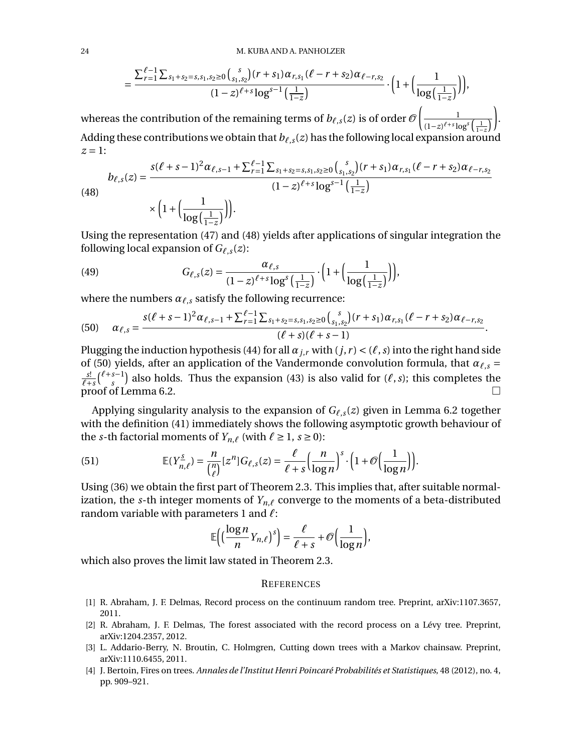$$
=\frac{\sum_{r=1}^{\ell-1}\sum_{s_1+s_2=s,s_1,s_2\ge0}\binom{s}{s_1,s_2}(r+s_1)\alpha_{r,s_1}(\ell-r+s_2)\alpha_{\ell-r,s_2}}{(1-z)^{\ell+s}\log^{s-1}\left(\frac{1}{1-z}\right)}\cdot\Big(1+\Big(\frac{1}{\log\Big(\frac{1}{1-z}\Big)}\Big)\Big),
$$

whereas the contribution of the remaining terms of  $b_{\ell,s}(z)$  is of order  $\mathscr O$  $\begin{array}{ccc} \hline & & 1 \end{array}$  $\left(1-z\right)^{\ell+s}\log^s\left(\frac{1}{1-z}\right)$ ∂ . Adding these contributions we obtain that  $b_{\ell,s}(z)$  has the following local expansion around *z =* 1:

<span id="page-23-4"></span>(48)  

$$
b_{\ell,s}(z) = \frac{s(\ell+s-1)^2 \alpha_{\ell,s-1} + \sum_{r=1}^{\ell-1} \sum_{s_1+s_2=s,s_1,s_2 \ge 0} {s \choose s_1,s_2} (r+s_1) \alpha_{r,s_1} (\ell-r+s_2) \alpha_{\ell-r,s_2}}{(1-z)^{\ell+s} \log^{s-1} \left(\frac{1}{1-z}\right)}
$$

$$
\times \left(1 + \left(\frac{1}{\log \left(\frac{1}{1-z}\right)}\right)\right).
$$

Using the representation [\(47\)](#page-22-1) and [\(48\)](#page-23-4) yields after applications of singular integration the following local expansion of  $G_{\ell,s}(z)$ :

(49) 
$$
G_{\ell,s}(z) = \frac{\alpha_{\ell,s}}{(1-z)^{\ell+s} \log^s \left(\frac{1}{1-z}\right)} \cdot \left(1 + \left(\frac{1}{\log\left(\frac{1}{1-z}\right)}\right)\right),
$$

where the numbers  $\alpha_{\ell,s}$  satisfy the following recurrence:

<span id="page-23-5"></span>
$$
(50) \quad \alpha_{\ell,s} = \frac{s(\ell+s-1)^2\alpha_{\ell,s-1} + \sum_{r=1}^{\ell-1}\sum_{s_1+s_2=s,s_1,s_2\geq 0} {s \choose s_1,s_2} (r+s_1)\alpha_{r,s_1}(\ell-r+s_2)\alpha_{\ell-r,s_2}}{(\ell+s)(\ell+s-1)}.
$$

Plugging the induction hypothesis [\(44\)](#page-21-4) for all  $\alpha_{j,r}$  with  $(j, r) < (\ell, s)$  into the right hand side of [\(50\)](#page-23-5) yields, after an application of the Vandermonde convolution formula, that  $\alpha_{\ell,s}$  =  $\ell$ <sup>+</sup>*s*  $\binom{\ell+s-1}{s}$  also holds. Thus the expansion [\(43\)](#page-21-3) is also valid for  $(\ell, s)$ ; this completes the proof of Lemma [6.2.](#page-21-1)

Applying singularity analysis to the expansion of  $G_{\ell,s}(z)$  given in Lemma [6.2](#page-21-1) together with the definition [\(41\)](#page-21-0) immediately shows the following asymptotic growth behaviour of the *s*-th factorial moments of  $Y_{n,\ell}$  (with  $\ell \geq 1, s \geq 0$ ):

(51) 
$$
\mathbb{E}(Y_{n,\ell}^{\underline{s}}) = \frac{n}{\binom{n}{\ell}} [z^n] G_{\ell,s}(z) = \frac{\ell}{\ell+s} \Big( \frac{n}{\log n} \Big)^s \cdot \Big( 1 + \mathcal{O} \Big( \frac{1}{\log n} \Big) \Big).
$$

Using [\(36\)](#page-19-2) we obtain the first part of Theorem [2.3.](#page-4-1) This implies that, after suitable normalization, the *s*-th integer moments of  $Y_{n,\ell}$  converge to the moments of a beta-distributed random variable with parameters 1 and  $\ell$ :

$$
\mathbb{E}\Big(\Big(\frac{\log n}{n}Y_{n,\ell}\Big)^s\Big)=\frac{\ell}{\ell+s}+\mathcal{O}\Big(\frac{1}{\log n}\Big),\,
$$

which also proves the limit law stated in Theorem [2.3.](#page-4-1)

### **REFERENCES**

- <span id="page-23-1"></span>[1] R. Abraham, J. F. Delmas, Record process on the continuum random tree. Preprint, arXiv:1107.3657, 2011.
- <span id="page-23-2"></span>[2] R. Abraham, J. F. Delmas, The forest associated with the record process on a Lévy tree. Preprint, arXiv:1204.2357, 2012.
- <span id="page-23-0"></span>[3] L. Addario-Berry, N. Broutin, C. Holmgren, Cutting down trees with a Markov chainsaw. Preprint, arXiv:1110.6455, 2011.
- <span id="page-23-3"></span>[4] J. Bertoin, Fires on trees. *Annales de l'Institut Henri Poincaré Probabilités et Statistiques*, 48 (2012), no. 4, pp. 909–921.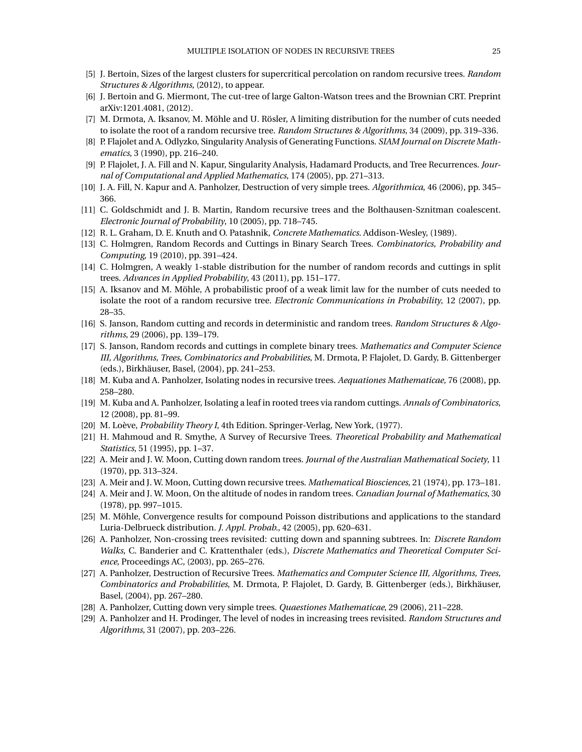- <span id="page-24-13"></span>[5] J. Bertoin, Sizes of the largest clusters for supercritical percolation on random recursive trees. *Random Structures & Algorithms*, (2012), to appear.
- <span id="page-24-8"></span>[6] J. Bertoin and G. Miermont, The cut-tree of large Galton-Watson trees and the Brownian CRT. Preprint arXiv:1201.4081, (2012).
- <span id="page-24-11"></span>[7] M. Drmota, A. Iksanov, M. Möhle and U. Rösler, A limiting distribution for the number of cuts needed to isolate the root of a random recursive tree. *Random Structures & Algorithms*, 34 (2009), pp. 319–336.
- <span id="page-24-20"></span>[8] P. Flajolet and A. Odlyzko, Singularity Analysis of Generating Functions. *SIAM Journal on Discrete Mathematics*, 3 (1990), pp. 216–240.
- <span id="page-24-21"></span>[9] P. Flajolet, J. A. Fill and N. Kapur, Singularity Analysis, Hadamard Products, and Tree Recurrences. *Journal of Computational and Applied Mathematics*, 174 (2005), pp. 271–313.
- [10] J. A. Fill, N. Kapur and A. Panholzer, Destruction of very simple trees. *Algorithmica*, 46 (2006), pp. 345– 366.
- <span id="page-24-10"></span>[11] C. Goldschmidt and J. B. Martin, Random recursive trees and the Bolthausen-Sznitman coalescent. *Electronic Journal of Probability*, 10 (2005), pp. 718–745.
- [12] R. L. Graham, D. E. Knuth and O. Patashnik, *Concrete Mathematics*. Addison-Wesley, (1989).
- <span id="page-24-6"></span>[13] C. Holmgren, Random Records and Cuttings in Binary Search Trees. *Combinatorics, Probability and Computing*, 19 (2010), pp. 391–424.
- <span id="page-24-7"></span>[14] C. Holmgren, A weakly 1-stable distribution for the number of random records and cuttings in split trees. *Advances in Applied Probability*, 43 (2011), pp. 151–177.
- <span id="page-24-12"></span>[15] A. Iksanov and M. Möhle, A probabilistic proof of a weak limit law for the number of cuts needed to isolate the root of a random recursive tree. *Electronic Communications in Probability*, 12 (2007), pp. 28–35.
- <span id="page-24-4"></span>[16] S. Janson, Random cutting and records in deterministic and random trees. *Random Structures & Algorithms*, 29 (2006), pp. 139–179.
- <span id="page-24-5"></span>[17] S. Janson, Random records and cuttings in complete binary trees. *Mathematics and Computer Science III, Algorithms, Trees, Combinatorics and Probabilities*, M. Drmota, P. Flajolet, D. Gardy, B. Gittenberger (eds.), Birkhäuser, Basel, (2004), pp. 241–253.
- <span id="page-24-15"></span>[18] M. Kuba and A. Panholzer, Isolating nodes in recursive trees. *Aequationes Mathematicae*, 76 (2008), pp. 258–280.
- <span id="page-24-14"></span>[19] M. Kuba and A. Panholzer, Isolating a leaf in rooted trees via random cuttings. *Annals of Combinatorics*, 12 (2008), pp. 81–99.
- <span id="page-24-19"></span>[20] M. Loève, *Probability Theory I*, 4th Edition. Springer-Verlag, New York, (1977).
- <span id="page-24-16"></span>[21] H. Mahmoud and R. Smythe, A Survey of Recursive Trees. *Theoretical Probability and Mathematical Statistics*, 51 (1995), pp. 1–37.
- <span id="page-24-0"></span>[22] A. Meir and J. W. Moon, Cutting down random trees. *Journal of the Australian Mathematical Society*, 11 (1970), pp. 313–324.
- <span id="page-24-1"></span>[23] A. Meir and J. W. Moon, Cutting down recursive trees. *Mathematical Biosciences*, 21 (1974), pp. 173–181.
- [24] A. Meir and J. W. Moon, On the altitude of nodes in random trees. *Canadian Journal of Mathematics*, 30 (1978), pp. 997–1015.
- <span id="page-24-18"></span>[25] M. Möhle, Convergence results for compound Poisson distributions and applications to the standard Luria-Delbrueck distribution. *J. Appl. Probab.*, 42 (2005), pp. 620–631.
- <span id="page-24-2"></span>[26] A. Panholzer, Non-crossing trees revisited: cutting down and spanning subtrees. In: *Discrete Random Walks*, C. Banderier and C. Krattenthaler (eds.), *Discrete Mathematics and Theoretical Computer Science*, Proceedings AC, (2003), pp. 265–276.
- <span id="page-24-9"></span>[27] A. Panholzer, Destruction of Recursive Trees. *Mathematics and Computer Science III, Algorithms, Trees, Combinatorics and Probabilities*, M. Drmota, P. Flajolet, D. Gardy, B. Gittenberger (eds.), Birkhäuser, Basel, (2004), pp. 267–280.
- <span id="page-24-3"></span>[28] A. Panholzer, Cutting down very simple trees. *Quaestiones Mathematicae*, 29 (2006), 211–228.
- <span id="page-24-17"></span>[29] A. Panholzer and H. Prodinger, The level of nodes in increasing trees revisited. *Random Structures and Algorithms*, 31 (2007), pp. 203–226.